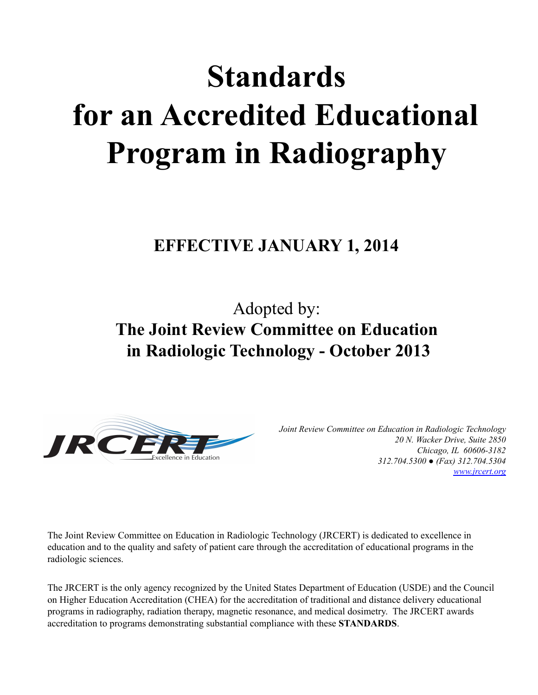# **Standards for an Accredited Educational Program in Radiography**

**EFFECTIVE JANUARY 1, 2014**

Adopted by: **The Joint Review Committee on Education in Radiologic Technology - October 2013**



*Joint Review Committee on Education in Radiologic Technology 20 N. Wacker Drive, Suite 2850 Chicago, IL 60606-3182 312.704.5300 ● (Fax) 312.704.5304 [www.jrcert.org](http://www.jrcert.org)*

The Joint Review Committee on Education in Radiologic Technology (JRCERT) is dedicated to excellence in education and to the quality and safety of patient care through the accreditation of educational programs in the radiologic sciences.

The JRCERT is the only agency recognized by the United States Department of Education (USDE) and the Council on Higher Education Accreditation (CHEA) for the accreditation of traditional and distance delivery educational programs in radiography, radiation therapy, magnetic resonance, and medical dosimetry. The JRCERT awards accreditation to programs demonstrating substantial compliance with these **STANDARDS**.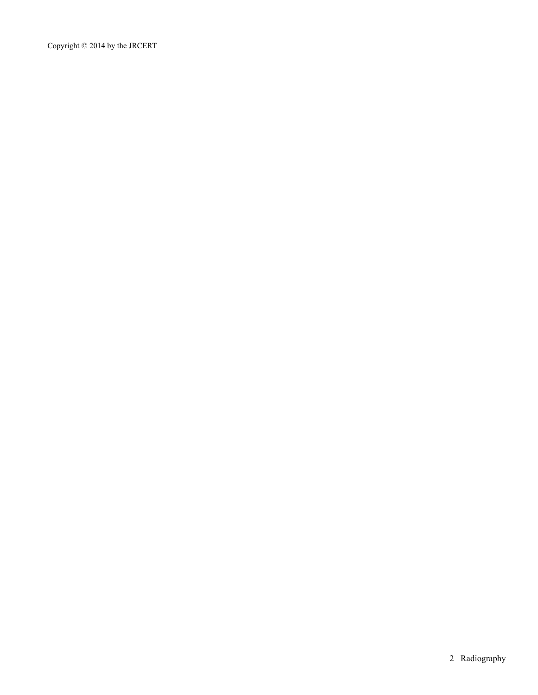Copyright © 2014 by the JRCERT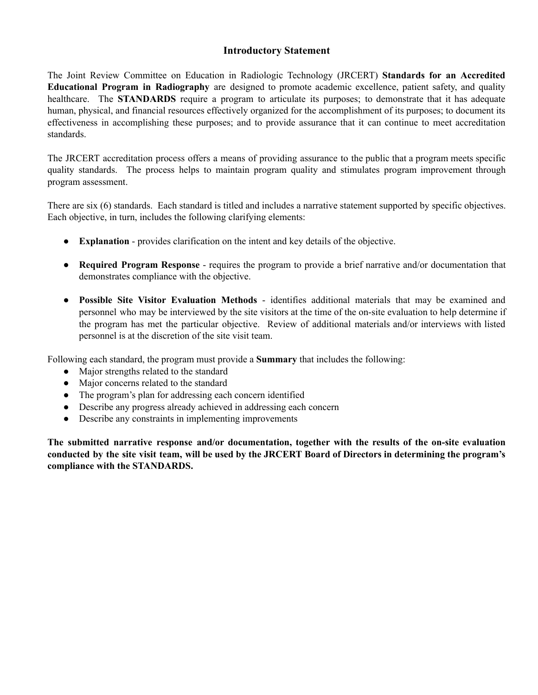## **Introductory Statement**

The Joint Review Committee on Education in Radiologic Technology (JRCERT) **Standards for an Accredited Educational Program in Radiography** are designed to promote academic excellence, patient safety, and quality healthcare. The **STANDARDS** require a program to articulate its purposes; to demonstrate that it has adequate human, physical, and financial resources effectively organized for the accomplishment of its purposes; to document its effectiveness in accomplishing these purposes; and to provide assurance that it can continue to meet accreditation standards.

The JRCERT accreditation process offers a means of providing assurance to the public that a program meets specific quality standards. The process helps to maintain program quality and stimulates program improvement through program assessment.

There are six (6) standards. Each standard is titled and includes a narrative statement supported by specific objectives. Each objective, in turn, includes the following clarifying elements:

- **Explanation** provides clarification on the intent and key details of the objective.
- **Required Program Response** requires the program to provide a brief narrative and/or documentation that demonstrates compliance with the objective.
- **Possible Site Visitor Evaluation Methods** identifies additional materials that may be examined and personnel who may be interviewed by the site visitors at the time of the on-site evaluation to help determine if the program has met the particular objective. Review of additional materials and/or interviews with listed personnel is at the discretion of the site visit team.

Following each standard, the program must provide a **Summary** that includes the following:

- Major strengths related to the standard
- Major concerns related to the standard
- The program's plan for addressing each concern identified
- Describe any progress already achieved in addressing each concern
- Describe any constraints in implementing improvements

**The submitted narrative response and/or documentation, together with the results of the on-site evaluation** conducted by the site visit team, will be used by the JRCERT Board of Directors in determining the program's **compliance with the STANDARDS.**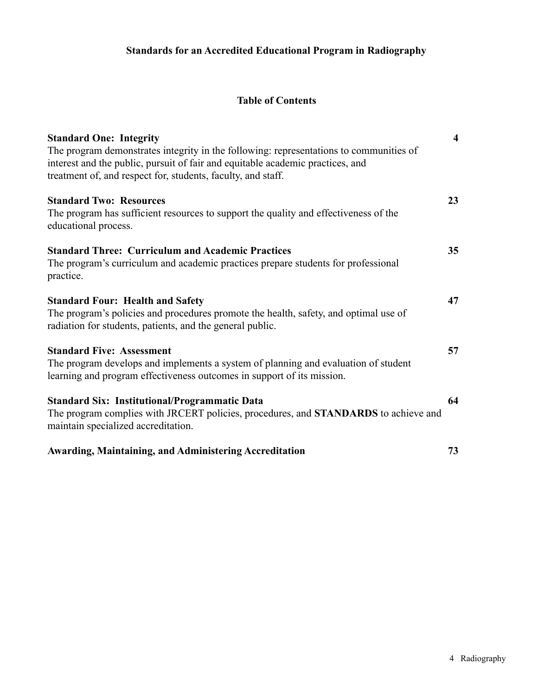# **Table of Contents**

| <b>Standard One: Integrity</b>                                                                               | $\overline{\mathbf{4}}$ |
|--------------------------------------------------------------------------------------------------------------|-------------------------|
| The program demonstrates integrity in the following: representations to communities of                       |                         |
| interest and the public, pursuit of fair and equitable academic practices, and                               |                         |
| treatment of, and respect for, students, faculty, and staff.                                                 |                         |
| <b>Standard Two: Resources</b>                                                                               | 23                      |
| The program has sufficient resources to support the quality and effectiveness of the<br>educational process. |                         |
| <b>Standard Three: Curriculum and Academic Practices</b>                                                     | 35                      |
| The program's curriculum and academic practices prepare students for professional                            |                         |
| practice.                                                                                                    |                         |
| <b>Standard Four: Health and Safety</b>                                                                      | 47                      |
| The program's policies and procedures promote the health, safety, and optimal use of                         |                         |
| radiation for students, patients, and the general public.                                                    |                         |
| <b>Standard Five: Assessment</b>                                                                             | 57                      |
| The program develops and implements a system of planning and evaluation of student                           |                         |
| learning and program effectiveness outcomes in support of its mission.                                       |                         |
| <b>Standard Six: Institutional/Programmatic Data</b>                                                         | 64                      |
| The program complies with JRCERT policies, procedures, and <b>STANDARDS</b> to achieve and                   |                         |
| maintain specialized accreditation.                                                                          |                         |
| <b>Awarding, Maintaining, and Administering Accreditation</b>                                                | 73                      |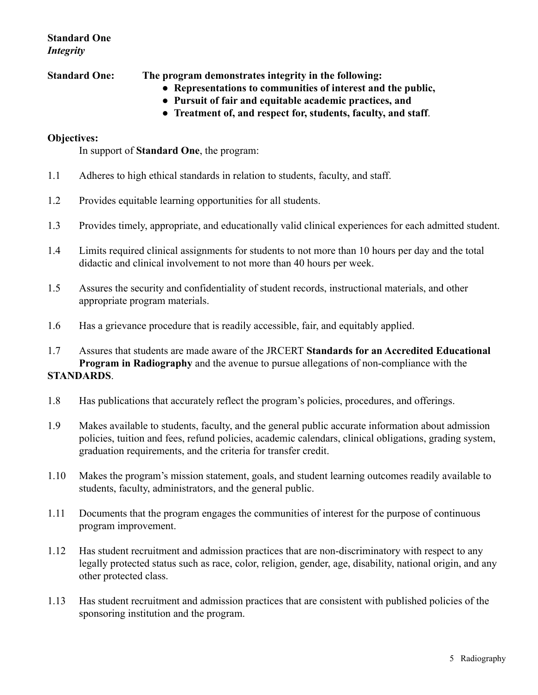# **Standard One** *Integrity*

**Standard One: The program demonstrates integrity in the following:**

- **Representations to communities of interest and the public,**
- **Pursuit of fair and equitable academic practices, and**
- **Treatment of, and respect for, students, faculty, and staff**.

#### **Objectives:**

In support of **Standard One**, the program:

- 1.1 Adheres to high ethical standards in relation to students, faculty, and staff.
- 1.2 Provides equitable learning opportunities for all students.
- 1.3 Provides timely, appropriate, and educationally valid clinical experiences for each admitted student.
- 1.4 Limits required clinical assignments for students to not more than 10 hours per day and the total didactic and clinical involvement to not more than 40 hours per week.
- 1.5 Assures the security and confidentiality of student records, instructional materials, and other appropriate program materials.
- 1.6 Has a grievance procedure that is readily accessible, fair, and equitably applied.

1.7 Assures that students are made aware of the JRCERT **Standards for an Accredited Educational Program in Radiography** and the avenue to pursue allegations of non-compliance with the **STANDARDS**.

- 1.8 Has publications that accurately reflect the program's policies, procedures, and offerings.
- 1.9 Makes available to students, faculty, and the general public accurate information about admission policies, tuition and fees, refund policies, academic calendars, clinical obligations, grading system, graduation requirements, and the criteria for transfer credit.
- 1.10 Makes the program's mission statement, goals, and student learning outcomes readily available to students, faculty, administrators, and the general public.
- 1.11 Documents that the program engages the communities of interest for the purpose of continuous program improvement.
- 1.12 Has student recruitment and admission practices that are non-discriminatory with respect to any legally protected status such as race, color, religion, gender, age, disability, national origin, and any other protected class.
- 1.13 Has student recruitment and admission practices that are consistent with published policies of the sponsoring institution and the program.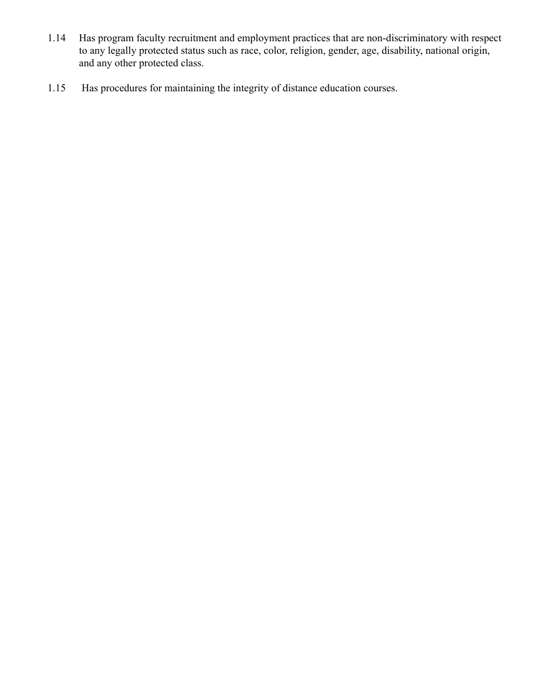- 1.14 Has program faculty recruitment and employment practices that are non-discriminatory with respect to any legally protected status such as race, color, religion, gender, age, disability, national origin, and any other protected class.
- 1.15 Has procedures for maintaining the integrity of distance education courses.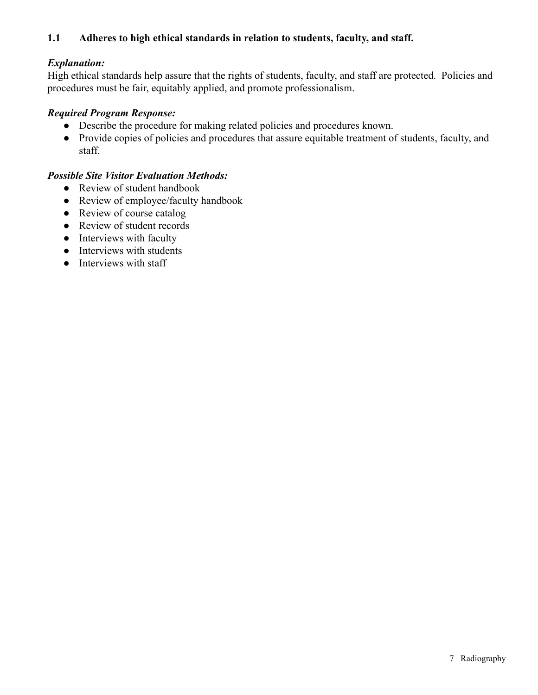## **1.1 Adheres to high ethical standards in relation to students, faculty, and staff.**

## *Explanation:*

High ethical standards help assure that the rights of students, faculty, and staff are protected. Policies and procedures must be fair, equitably applied, and promote professionalism.

## *Required Program Response:*

- Describe the procedure for making related policies and procedures known.
- Provide copies of policies and procedures that assure equitable treatment of students, faculty, and staff.

- Review of student handbook
- Review of employee/faculty handbook
- Review of course catalog
- Review of student records
- Interviews with faculty
- Interviews with students
- Interviews with staff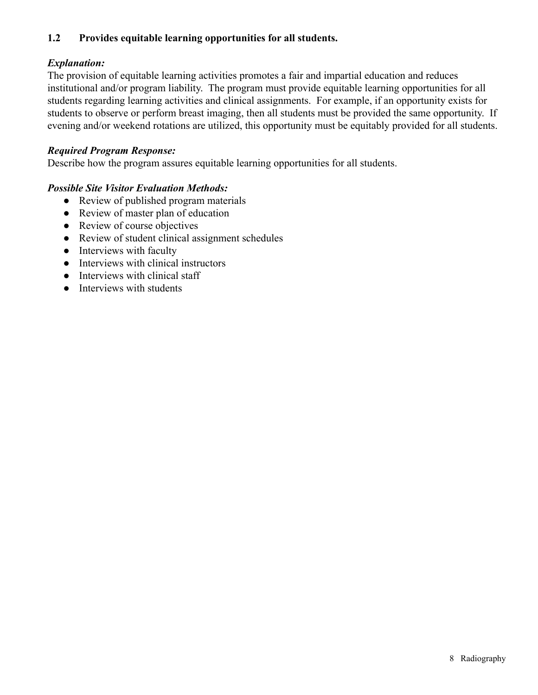# **1.2 Provides equitable learning opportunities for all students.**

## *Explanation:*

The provision of equitable learning activities promotes a fair and impartial education and reduces institutional and/or program liability. The program must provide equitable learning opportunities for all students regarding learning activities and clinical assignments. For example, if an opportunity exists for students to observe or perform breast imaging, then all students must be provided the same opportunity. If evening and/or weekend rotations are utilized, this opportunity must be equitably provided for all students.

## *Required Program Response:*

Describe how the program assures equitable learning opportunities for all students.

- Review of published program materials
- Review of master plan of education
- Review of course objectives
- Review of student clinical assignment schedules
- Interviews with faculty
- Interviews with clinical instructors
- Interviews with clinical staff
- Interviews with students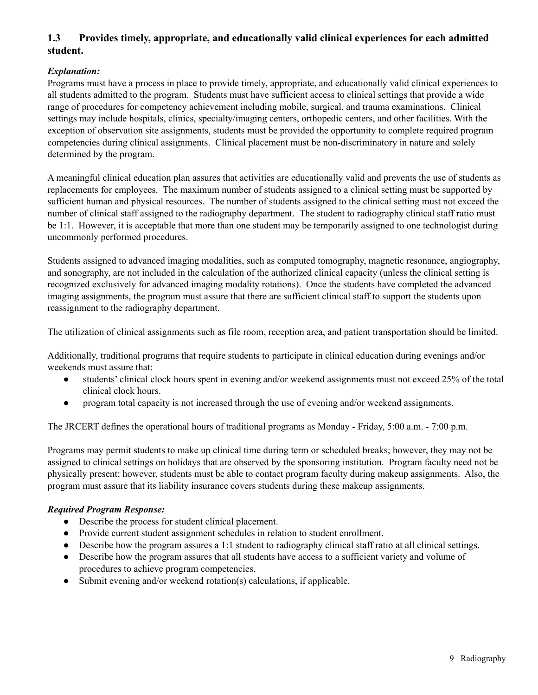# **1.3 Provides timely, appropriate, and educationally valid clinical experiences for each admitted student.**

#### *Explanation:*

Programs must have a process in place to provide timely, appropriate, and educationally valid clinical experiences to all students admitted to the program. Students must have sufficient access to clinical settings that provide a wide range of procedures for competency achievement including mobile, surgical, and trauma examinations. Clinical settings may include hospitals, clinics, specialty/imaging centers, orthopedic centers, and other facilities. With the exception of observation site assignments, students must be provided the opportunity to complete required program competencies during clinical assignments. Clinical placement must be non-discriminatory in nature and solely determined by the program.

A meaningful clinical education plan assures that activities are educationally valid and prevents the use of students as replacements for employees. The maximum number of students assigned to a clinical setting must be supported by sufficient human and physical resources. The number of students assigned to the clinical setting must not exceed the number of clinical staff assigned to the radiography department. The student to radiography clinical staff ratio must be 1:1. However, it is acceptable that more than one student may be temporarily assigned to one technologist during uncommonly performed procedures.

Students assigned to advanced imaging modalities, such as computed tomography, magnetic resonance, angiography, and sonography, are not included in the calculation of the authorized clinical capacity (unless the clinical setting is recognized exclusively for advanced imaging modality rotations). Once the students have completed the advanced imaging assignments, the program must assure that there are sufficient clinical staff to support the students upon reassignment to the radiography department.

The utilization of clinical assignments such as file room, reception area, and patient transportation should be limited.

Additionally, traditional programs that require students to participate in clinical education during evenings and/or weekends must assure that:

- students' clinical clock hours spent in evening and/or weekend assignments must not exceed 25% of the total clinical clock hours.
- program total capacity is not increased through the use of evening and/or weekend assignments.

The JRCERT defines the operational hours of traditional programs as Monday - Friday, 5:00 a.m. - 7:00 p.m.

Programs may permit students to make up clinical time during term or scheduled breaks; however, they may not be assigned to clinical settings on holidays that are observed by the sponsoring institution. Program faculty need not be physically present; however, students must be able to contact program faculty during makeup assignments. Also, the program must assure that its liability insurance covers students during these makeup assignments.

#### *Required Program Response:*

- Describe the process for student clinical placement.
- Provide current student assignment schedules in relation to student enrollment.
- Describe how the program assures a 1:1 student to radiography clinical staff ratio at all clinical settings.
- Describe how the program assures that all students have access to a sufficient variety and volume of procedures to achieve program competencies.
- Submit evening and/or weekend rotation(s) calculations, if applicable.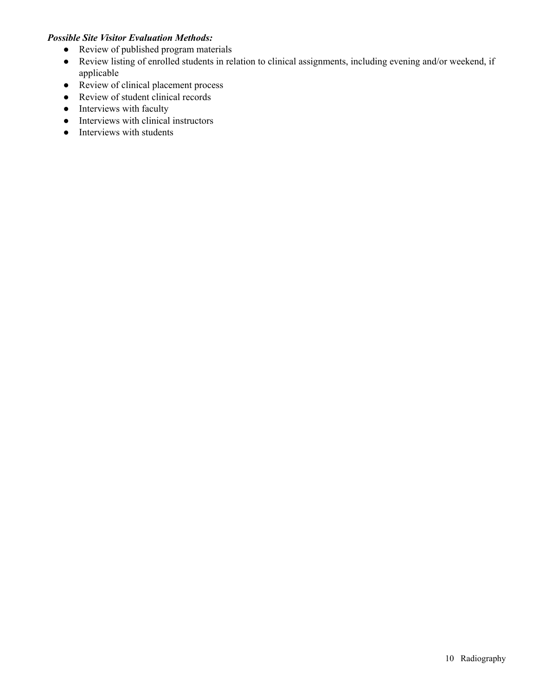- Review of published program materials
- Review listing of enrolled students in relation to clinical assignments, including evening and/or weekend, if applicable
- Review of clinical placement process
- Review of student clinical records
- Interviews with faculty
- Interviews with clinical instructors
- Interviews with students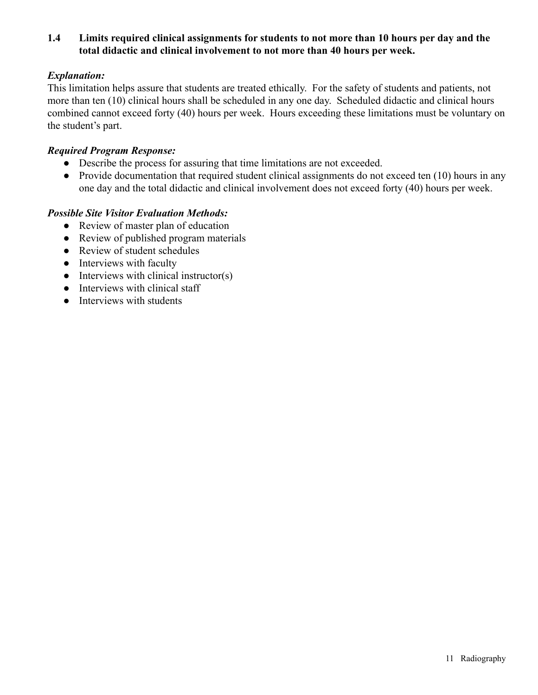## **1.4 Limits required clinical assignments for students to not more than 10 hours per day and the total didactic and clinical involvement to not more than 40 hours per week.**

## *Explanation:*

This limitation helps assure that students are treated ethically. For the safety of students and patients, not more than ten (10) clinical hours shall be scheduled in any one day. Scheduled didactic and clinical hours combined cannot exceed forty (40) hours per week. Hours exceeding these limitations must be voluntary on the student's part.

## *Required Program Response:*

- Describe the process for assuring that time limitations are not exceeded.
- Provide documentation that required student clinical assignments do not exceed ten (10) hours in any one day and the total didactic and clinical involvement does not exceed forty (40) hours per week.

- Review of master plan of education
- Review of published program materials
- Review of student schedules
- Interviews with faculty
- $\bullet$  Interviews with clinical instructor(s)
- Interviews with clinical staff
- Interviews with students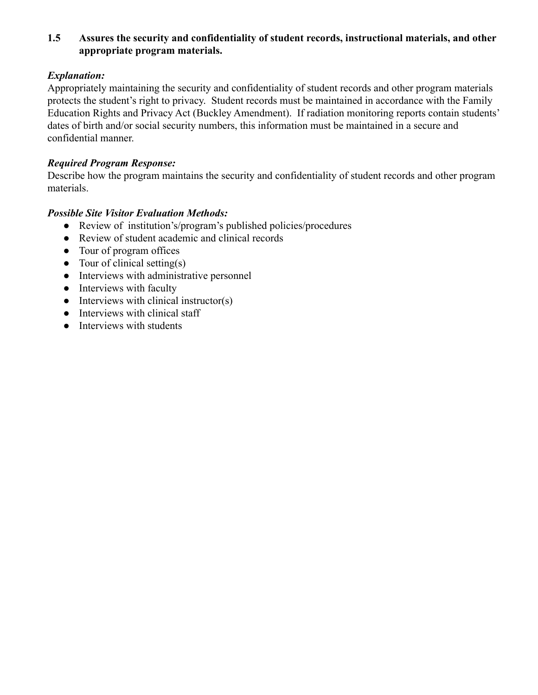# **1.5 Assures the security and confidentiality of student records, instructional materials, and other appropriate program materials.**

# *Explanation:*

Appropriately maintaining the security and confidentiality of student records and other program materials protects the student's right to privacy. Student records must be maintained in accordance with the Family Education Rights and Privacy Act (Buckley Amendment). If radiation monitoring reports contain students' dates of birth and/or social security numbers, this information must be maintained in a secure and confidential manner.

## *Required Program Response:*

Describe how the program maintains the security and confidentiality of student records and other program materials.

- Review of institution's/program's published policies/procedures
- Review of student academic and clinical records
- Tour of program offices
- $\bullet$  Tour of clinical setting(s)
- Interviews with administrative personnel
- Interviews with faculty
- $\bullet$  Interviews with clinical instructor(s)
- Interviews with clinical staff
- Interviews with students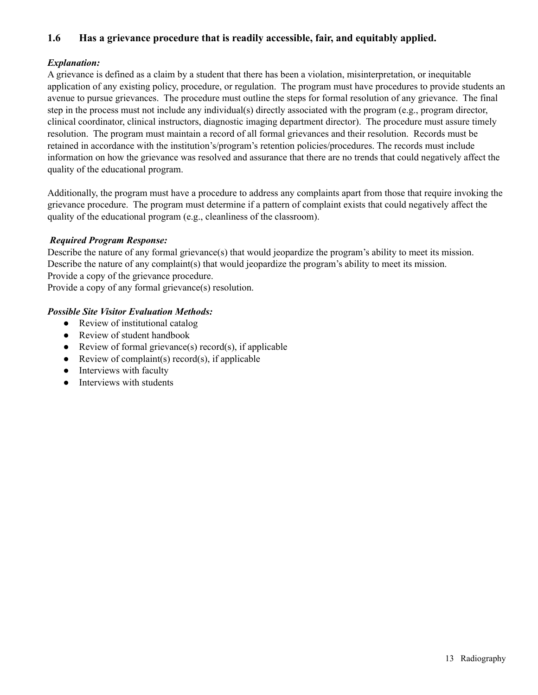## **1.6 Has a grievance procedure that is readily accessible, fair, and equitably applied.**

## *Explanation:*

A grievance is defined as a claim by a student that there has been a violation, misinterpretation, or inequitable application of any existing policy, procedure, or regulation. The program must have procedures to provide students an avenue to pursue grievances. The procedure must outline the steps for formal resolution of any grievance. The final step in the process must not include any individual(s) directly associated with the program (e.g., program director, clinical coordinator, clinical instructors, diagnostic imaging department director). The procedure must assure timely resolution. The program must maintain a record of all formal grievances and their resolution. Records must be retained in accordance with the institution's/program's retention policies/procedures. The records must include information on how the grievance was resolved and assurance that there are no trends that could negatively affect the quality of the educational program.

Additionally, the program must have a procedure to address any complaints apart from those that require invoking the grievance procedure. The program must determine if a pattern of complaint exists that could negatively affect the quality of the educational program (e.g., cleanliness of the classroom).

#### *Required Program Response:*

Describe the nature of any formal grievance(s) that would jeopardize the program's ability to meet its mission. Describe the nature of any complaint(s) that would jeopardize the program's ability to meet its mission. Provide a copy of the grievance procedure.

Provide a copy of any formal grievance(s) resolution.

- Review of institutional catalog
- Review of student handbook
- Review of formal grievance(s) record(s), if applicable
- Review of complaint(s) record(s), if applicable
- Interviews with faculty
- Interviews with students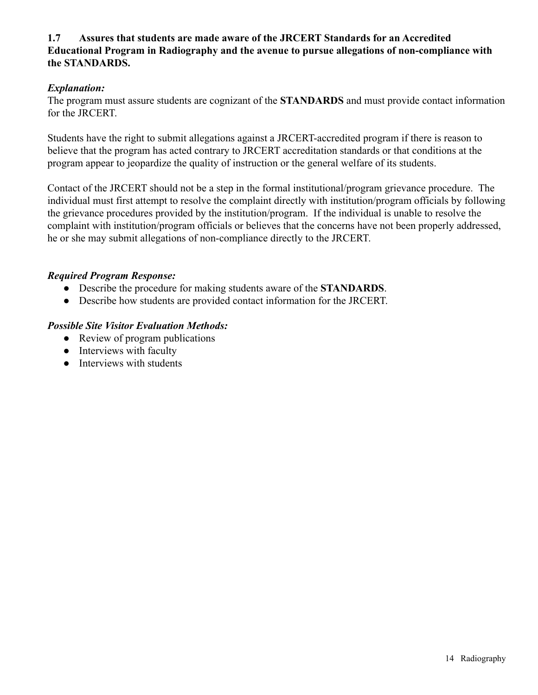## **1.7 Assures that students are made aware of the JRCERT Standards for an Accredited Educational Program in Radiography and the avenue to pursue allegations of non-compliance with the STANDARDS.**

## *Explanation:*

The program must assure students are cognizant of the **STANDARDS** and must provide contact information for the JRCERT.

Students have the right to submit allegations against a JRCERT-accredited program if there is reason to believe that the program has acted contrary to JRCERT accreditation standards or that conditions at the program appear to jeopardize the quality of instruction or the general welfare of its students.

Contact of the JRCERT should not be a step in the formal institutional/program grievance procedure. The individual must first attempt to resolve the complaint directly with institution/program officials by following the grievance procedures provided by the institution/program. If the individual is unable to resolve the complaint with institution/program officials or believes that the concerns have not been properly addressed, he or she may submit allegations of non-compliance directly to the JRCERT.

## *Required Program Response:*

- Describe the procedure for making students aware of the **STANDARDS**.
- Describe how students are provided contact information for the JRCERT.

- Review of program publications
- Interviews with faculty
- Interviews with students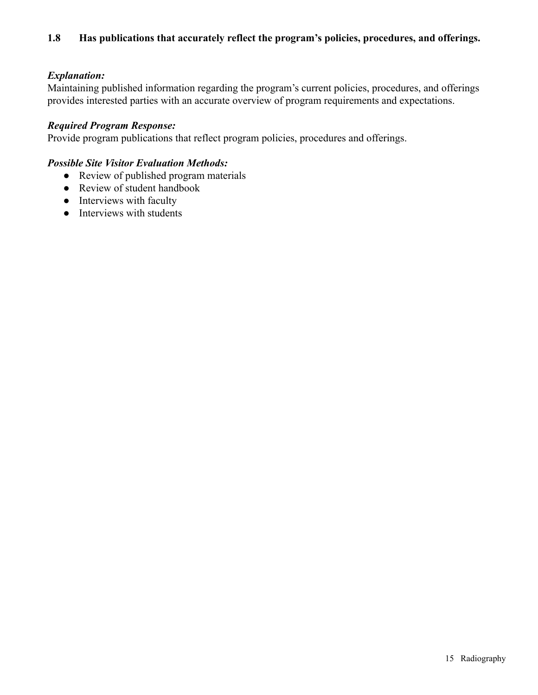## *Explanation:*

Maintaining published information regarding the program's current policies, procedures, and offerings provides interested parties with an accurate overview of program requirements and expectations.

## *Required Program Response:*

Provide program publications that reflect program policies, procedures and offerings.

- Review of published program materials
- Review of student handbook
- Interviews with faculty
- Interviews with students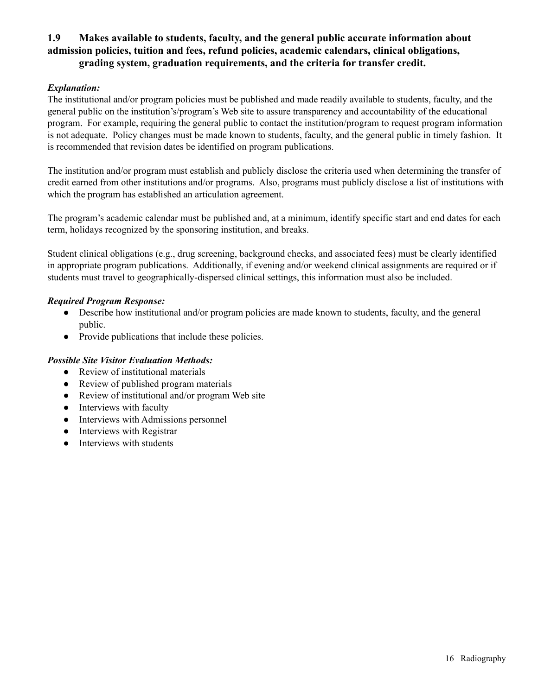## **1.9 Makes available to students, faculty, and the general public accurate information about admission policies, tuition and fees, refund policies, academic calendars, clinical obligations, grading system, graduation requirements, and the criteria for transfer credit.**

#### *Explanation:*

The institutional and/or program policies must be published and made readily available to students, faculty, and the general public on the institution's/program's Web site to assure transparency and accountability of the educational program. For example, requiring the general public to contact the institution/program to request program information is not adequate. Policy changes must be made known to students, faculty, and the general public in timely fashion. It is recommended that revision dates be identified on program publications.

The institution and/or program must establish and publicly disclose the criteria used when determining the transfer of credit earned from other institutions and/or programs. Also, programs must publicly disclose a list of institutions with which the program has established an articulation agreement.

The program's academic calendar must be published and, at a minimum, identify specific start and end dates for each term, holidays recognized by the sponsoring institution, and breaks.

Student clinical obligations (e.g., drug screening, background checks, and associated fees) must be clearly identified in appropriate program publications. Additionally, if evening and/or weekend clinical assignments are required or if students must travel to geographically-dispersed clinical settings, this information must also be included.

#### *Required Program Response:*

- Describe how institutional and/or program policies are made known to students, faculty, and the general public.
- Provide publications that include these policies.

- Review of institutional materials
- Review of published program materials
- Review of institutional and/or program Web site
- Interviews with faculty
- Interviews with Admissions personnel
- Interviews with Registrar
- Interviews with students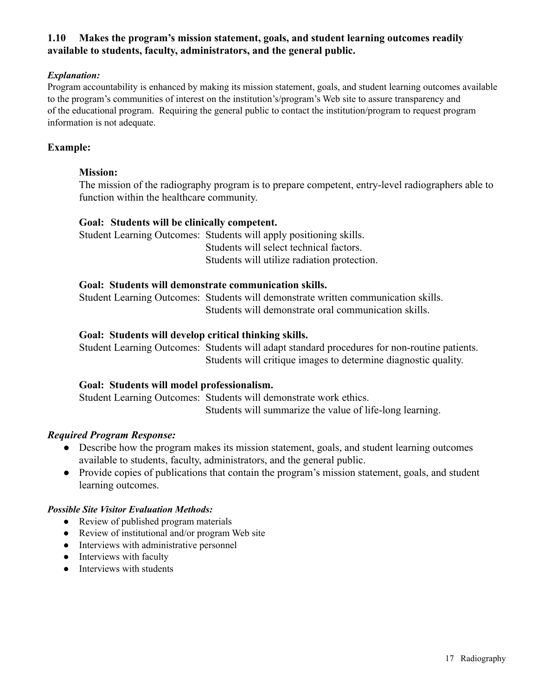## **1.10 Makes the program's mission statement, goals, and student learning outcomes readily available to students, faculty, administrators, and the general public.**

## *Explanation:*

Program accountability is enhanced by making its mission statement, goals, and student learning outcomes available to the program's communities of interest on the institution's/program's Web site to assure transparency and of the educational program. Requiring the general public to contact the institution/program to request program information is not adequate.

## **Example:**

#### **Mission:**

The mission of the radiography program is to prepare competent, entry-level radiographers able to function within the healthcare community.

#### **Goal: Students will be clinically competent.**

Student Learning Outcomes: Students will apply positioning skills. Students will select technical factors. Students will utilize radiation protection.

#### **Goal: Students will demonstrate communication skills.**

Student Learning Outcomes: Students will demonstrate written communication skills. Students will demonstrate oral communication skills.

#### **Goal: Students will develop critical thinking skills.**

Student Learning Outcomes: Students will adapt standard procedures for non-routine patients. Students will critique images to determine diagnostic quality.

#### **Goal: Students will model professionalism.**

Student Learning Outcomes: Students will demonstrate work ethics. Students will summarize the value of life-long learning.

#### *Required Program Response:*

- Describe how the program makes its mission statement, goals, and student learning outcomes available to students, faculty, administrators, and the general public.
- Provide copies of publications that contain the program's mission statement, goals, and student learning outcomes.

- Review of published program materials
- Review of institutional and/or program Web site
- Interviews with administrative personnel
- Interviews with faculty
- Interviews with students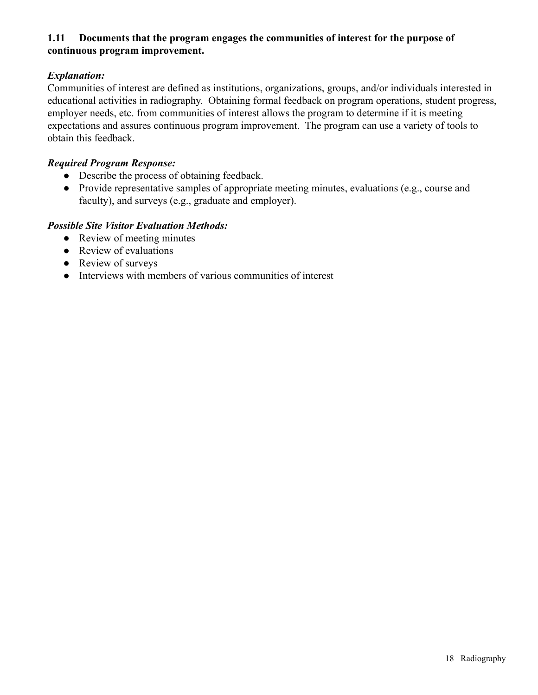## **1.11 Documents that the program engages the communities of interest for the purpose of continuous program improvement.**

# *Explanation:*

Communities of interest are defined as institutions, organizations, groups, and/or individuals interested in educational activities in radiography. Obtaining formal feedback on program operations, student progress, employer needs, etc. from communities of interest allows the program to determine if it is meeting expectations and assures continuous program improvement. The program can use a variety of tools to obtain this feedback.

## *Required Program Response:*

- Describe the process of obtaining feedback.
- Provide representative samples of appropriate meeting minutes, evaluations (e.g., course and faculty), and surveys (e.g., graduate and employer).

- Review of meeting minutes
- Review of evaluations
- Review of surveys
- Interviews with members of various communities of interest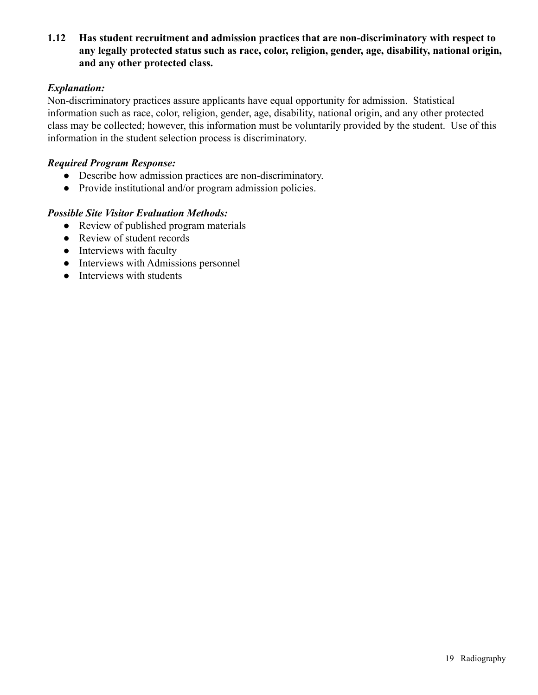**1.12 Has student recruitment and admission practices that are non-discriminatory with respect to any legally protected status such as race, color, religion, gender, age, disability, national origin, and any other protected class.**

#### *Explanation:*

Non-discriminatory practices assure applicants have equal opportunity for admission. Statistical information such as race, color, religion, gender, age, disability, national origin, and any other protected class may be collected; however, this information must be voluntarily provided by the student. Use of this information in the student selection process is discriminatory.

## *Required Program Response:*

- Describe how admission practices are non-discriminatory.
- Provide institutional and/or program admission policies.

- Review of published program materials
- Review of student records
- Interviews with faculty
- Interviews with Admissions personnel
- Interviews with students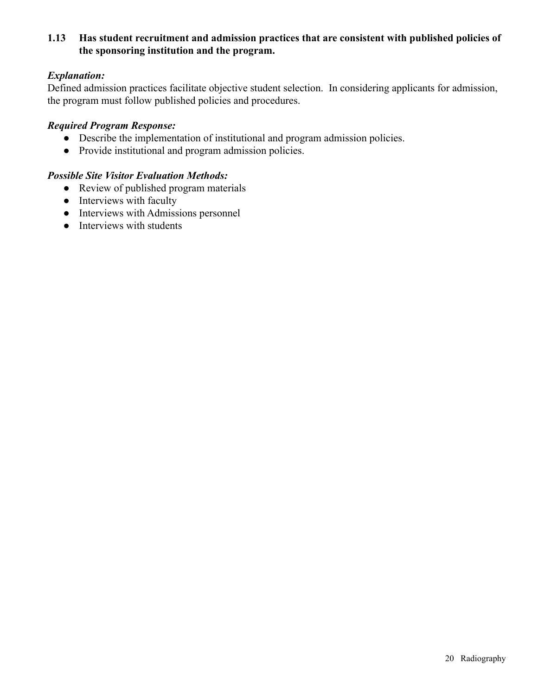## **1.13 Has student recruitment and admission practices that are consistent with published policies of the sponsoring institution and the program.**

## *Explanation:*

Defined admission practices facilitate objective student selection. In considering applicants for admission, the program must follow published policies and procedures.

#### *Required Program Response:*

- Describe the implementation of institutional and program admission policies.
- Provide institutional and program admission policies.

- Review of published program materials
- Interviews with faculty
- Interviews with Admissions personnel
- Interviews with students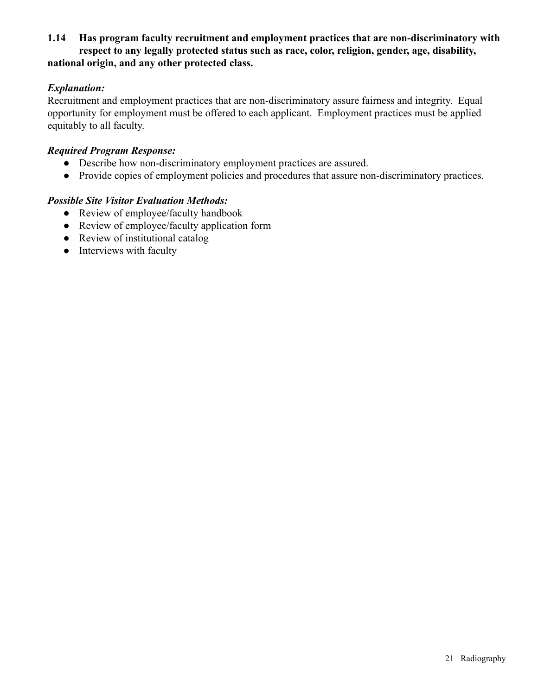## **1.14 Has program faculty recruitment and employment practices that are non-discriminatory with respect to any legally protected status such as race, color, religion, gender, age, disability, national origin, and any other protected class.**

## *Explanation:*

Recruitment and employment practices that are non-discriminatory assure fairness and integrity. Equal opportunity for employment must be offered to each applicant. Employment practices must be applied equitably to all faculty.

## *Required Program Response:*

- Describe how non-discriminatory employment practices are assured.
- Provide copies of employment policies and procedures that assure non-discriminatory practices.

- Review of employee/faculty handbook
- Review of employee/faculty application form
- Review of institutional catalog
- Interviews with faculty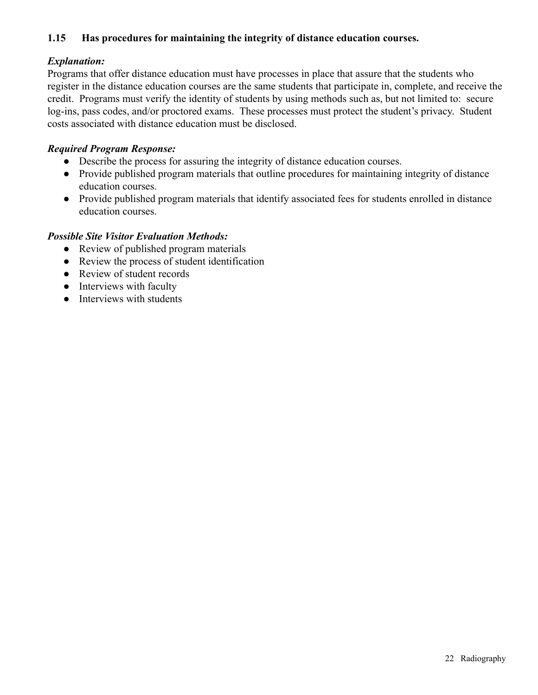## **1.15 Has procedures for maintaining the integrity of distance education courses.**

## *Explanation:*

Programs that offer distance education must have processes in place that assure that the students who register in the distance education courses are the same students that participate in, complete, and receive the credit. Programs must verify the identity of students by using methods such as, but not limited to: secure log-ins, pass codes, and/or proctored exams. These processes must protect the student's privacy. Student costs associated with distance education must be disclosed.

## *Required Program Response:*

- Describe the process for assuring the integrity of distance education courses.
- Provide published program materials that outline procedures for maintaining integrity of distance education courses.
- Provide published program materials that identify associated fees for students enrolled in distance education courses.

- Review of published program materials
- Review the process of student identification
- Review of student records
- Interviews with faculty
- Interviews with students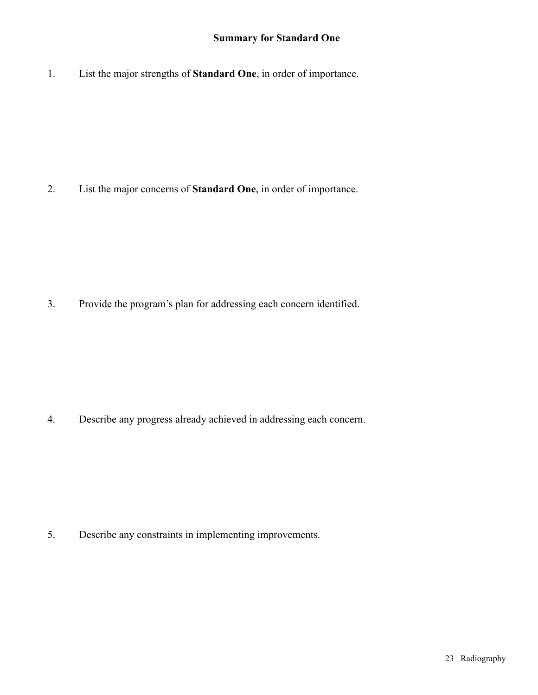## **Summary for Standard One**

1. List the major strengths of **Standard One**, in order of importance.

2. List the major concerns of **Standard One**, in order of importance.

3. Provide the program's plan for addressing each concern identified.

4. Describe any progress already achieved in addressing each concern.

5. Describe any constraints in implementing improvements.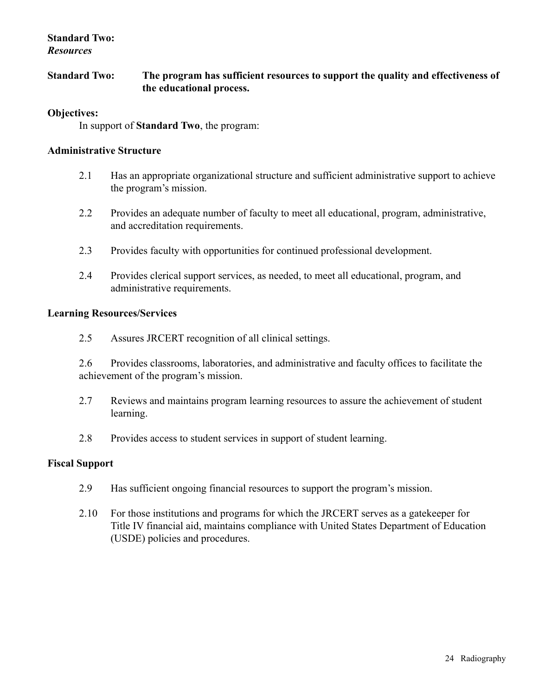## **Standard Two:** *Resources*

**Standard Two: The program has sufficient resources to support the quality and effectiveness of the educational process.**

#### **Objectives:**

In support of **Standard Two**, the program:

#### **Administrative Structure**

- 2.1 Has an appropriate organizational structure and sufficient administrative support to achieve the program's mission.
- 2.2 Provides an adequate number of faculty to meet all educational, program, administrative, and accreditation requirements.
- 2.3 Provides faculty with opportunities for continued professional development.
- 2.4 Provides clerical support services, as needed, to meet all educational, program, and administrative requirements.

## **Learning Resources/Services**

2.5 Assures JRCERT recognition of all clinical settings.

2.6 Provides classrooms, laboratories, and administrative and faculty offices to facilitate the achievement of the program's mission.

- 2.7 Reviews and maintains program learning resources to assure the achievement of student learning.
- 2.8 Provides access to student services in support of student learning.

#### **Fiscal Support**

- 2.9 Has sufficient ongoing financial resources to support the program's mission.
- 2.10 For those institutions and programs for which the JRCERT serves as a gatekeeper for Title IV financial aid, maintains compliance with United States Department of Education (USDE) policies and procedures.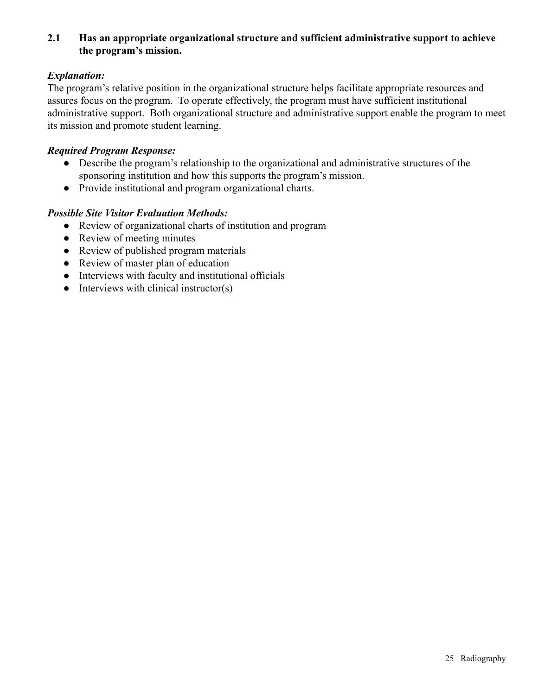## **2.1 Has an appropriate organizational structure and sufficient administrative support to achieve the program's mission.**

## *Explanation:*

The program's relative position in the organizational structure helps facilitate appropriate resources and assures focus on the program. To operate effectively, the program must have sufficient institutional administrative support. Both organizational structure and administrative support enable the program to meet its mission and promote student learning.

## *Required Program Response:*

- Describe the program's relationship to the organizational and administrative structures of the sponsoring institution and how this supports the program's mission.
- Provide institutional and program organizational charts.

- Review of organizational charts of institution and program
- Review of meeting minutes
- Review of published program materials
- Review of master plan of education
- Interviews with faculty and institutional officials
- $\bullet$  Interviews with clinical instructor(s)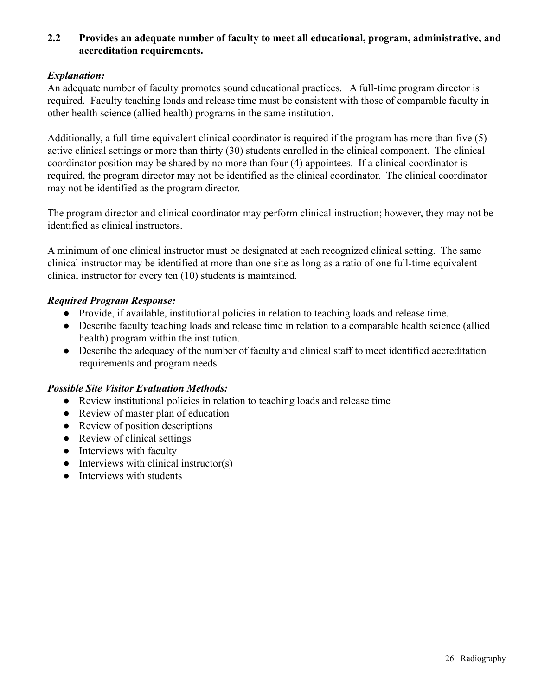## **2.2 Provides an adequate number of faculty to meet all educational, program, administrative, and accreditation requirements.**

## *Explanation:*

An adequate number of faculty promotes sound educational practices. A full-time program director is required. Faculty teaching loads and release time must be consistent with those of comparable faculty in other health science (allied health) programs in the same institution.

Additionally, a full-time equivalent clinical coordinator is required if the program has more than five (5) active clinical settings or more than thirty (30) students enrolled in the clinical component. The clinical coordinator position may be shared by no more than four (4) appointees. If a clinical coordinator is required, the program director may not be identified as the clinical coordinator. The clinical coordinator may not be identified as the program director.

The program director and clinical coordinator may perform clinical instruction; however, they may not be identified as clinical instructors.

A minimum of one clinical instructor must be designated at each recognized clinical setting. The same clinical instructor may be identified at more than one site as long as a ratio of one full-time equivalent clinical instructor for every ten (10) students is maintained.

## *Required Program Response:*

- Provide, if available, institutional policies in relation to teaching loads and release time.
- Describe faculty teaching loads and release time in relation to a comparable health science (allied health) program within the institution.
- Describe the adequacy of the number of faculty and clinical staff to meet identified accreditation requirements and program needs.

- Review institutional policies in relation to teaching loads and release time
- Review of master plan of education
- Review of position descriptions
- Review of clinical settings
- Interviews with faculty
- $\bullet$  Interviews with clinical instructor(s)
- Interviews with students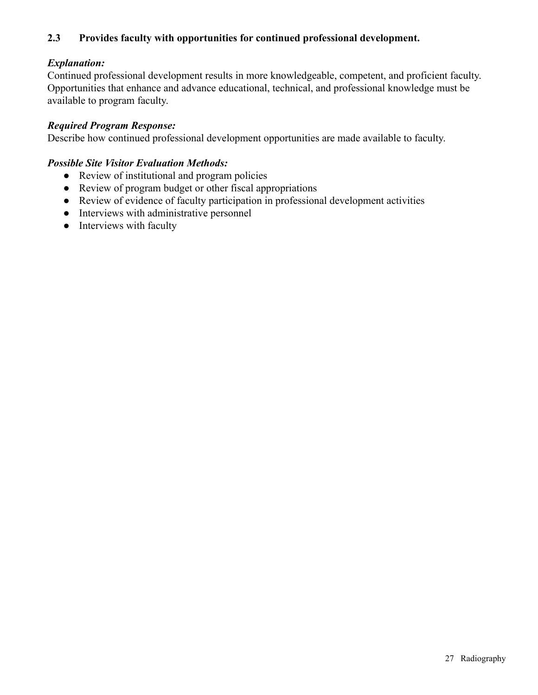## **2.3 Provides faculty with opportunities for continued professional development.**

## *Explanation:*

Continued professional development results in more knowledgeable, competent, and proficient faculty. Opportunities that enhance and advance educational, technical, and professional knowledge must be available to program faculty.

## *Required Program Response:*

Describe how continued professional development opportunities are made available to faculty.

- Review of institutional and program policies
- Review of program budget or other fiscal appropriations
- Review of evidence of faculty participation in professional development activities
- Interviews with administrative personnel
- Interviews with faculty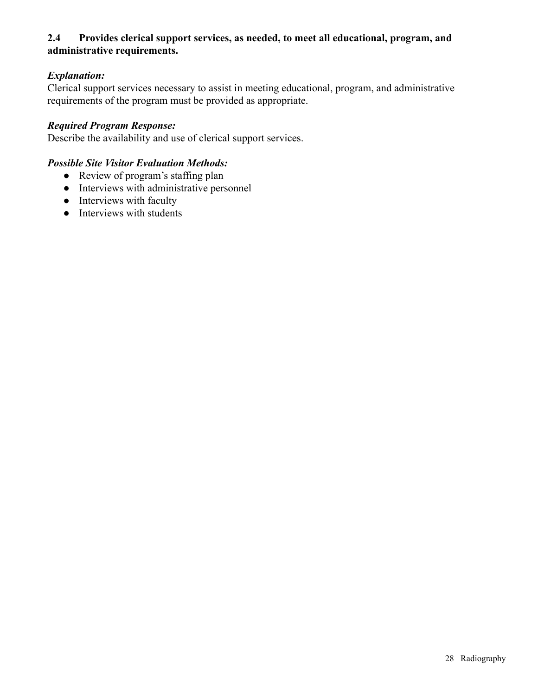## **2.4 Provides clerical support services, as needed, to meet all educational, program, and administrative requirements.**

# *Explanation:*

Clerical support services necessary to assist in meeting educational, program, and administrative requirements of the program must be provided as appropriate.

## *Required Program Response:*

Describe the availability and use of clerical support services.

- Review of program's staffing plan
- Interviews with administrative personnel
- Interviews with faculty
- Interviews with students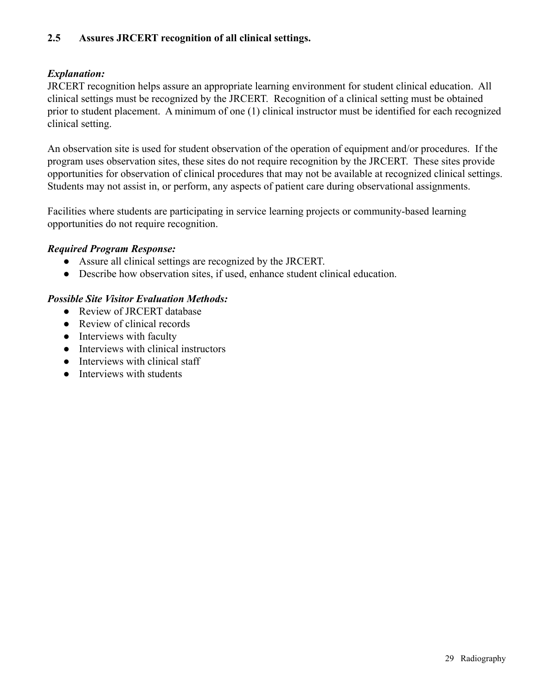## **2.5 Assures JRCERT recognition of all clinical settings.**

## *Explanation:*

JRCERT recognition helps assure an appropriate learning environment for student clinical education. All clinical settings must be recognized by the JRCERT. Recognition of a clinical setting must be obtained prior to student placement. A minimum of one (1) clinical instructor must be identified for each recognized clinical setting.

An observation site is used for student observation of the operation of equipment and/or procedures. If the program uses observation sites, these sites do not require recognition by the JRCERT. These sites provide opportunities for observation of clinical procedures that may not be available at recognized clinical settings. Students may not assist in, or perform, any aspects of patient care during observational assignments.

Facilities where students are participating in service learning projects or community-based learning opportunities do not require recognition.

## *Required Program Response:*

- Assure all clinical settings are recognized by the JRCERT.
- Describe how observation sites, if used, enhance student clinical education.

- Review of JRCERT database
- Review of clinical records
- Interviews with faculty
- Interviews with clinical instructors
- Interviews with clinical staff
- **•** Interviews with students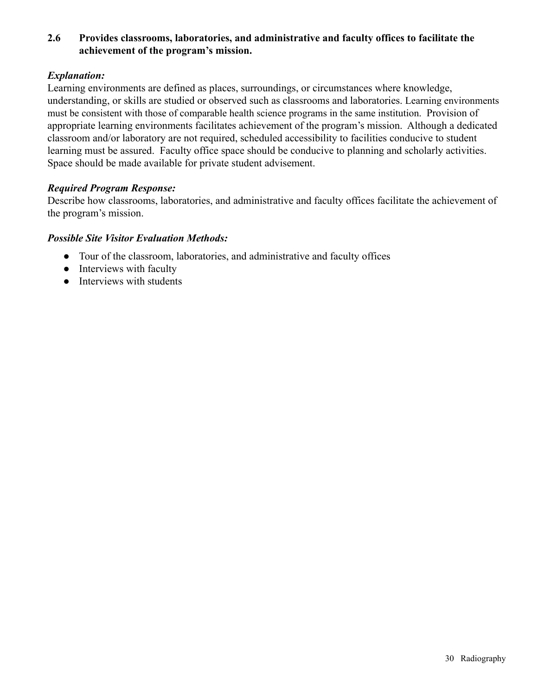## **2.6 Provides classrooms, laboratories, and administrative and faculty offices to facilitate the achievement of the program's mission.**

## *Explanation:*

Learning environments are defined as places, surroundings, or circumstances where knowledge, understanding, or skills are studied or observed such as classrooms and laboratories. Learning environments must be consistent with those of comparable health science programs in the same institution. Provision of appropriate learning environments facilitates achievement of the program's mission. Although a dedicated classroom and/or laboratory are not required, scheduled accessibility to facilities conducive to student learning must be assured. Faculty office space should be conducive to planning and scholarly activities. Space should be made available for private student advisement.

## *Required Program Response:*

Describe how classrooms, laboratories, and administrative and faculty offices facilitate the achievement of the program's mission.

- Tour of the classroom, laboratories, and administrative and faculty offices
- Interviews with faculty
- Interviews with students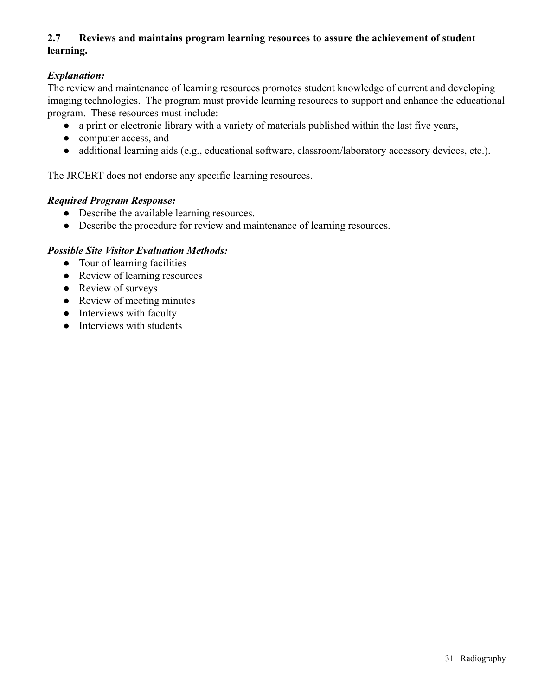# **2.7 Reviews and maintains program learning resources to assure the achievement of student learning.**

# *Explanation:*

The review and maintenance of learning resources promotes student knowledge of current and developing imaging technologies. The program must provide learning resources to support and enhance the educational program. These resources must include:

- a print or electronic library with a variety of materials published within the last five years,
- computer access, and
- additional learning aids (e.g., educational software, classroom/laboratory accessory devices, etc.).

The JRCERT does not endorse any specific learning resources.

## *Required Program Response:*

- Describe the available learning resources.
- Describe the procedure for review and maintenance of learning resources.

- Tour of learning facilities
- Review of learning resources
- Review of surveys
- Review of meeting minutes
- Interviews with faculty
- Interviews with students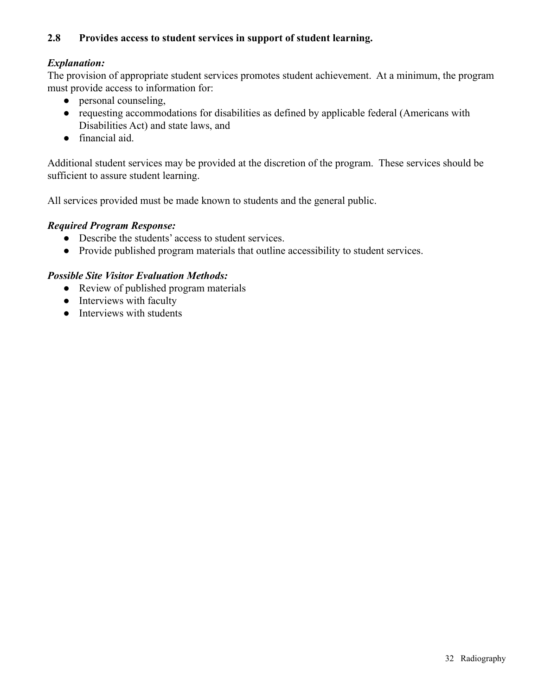## **2.8 Provides access to student services in support of student learning.**

## *Explanation:*

The provision of appropriate student services promotes student achievement. At a minimum, the program must provide access to information for:

- personal counseling,
- requesting accommodations for disabilities as defined by applicable federal (Americans with Disabilities Act) and state laws, and
- financial aid.

Additional student services may be provided at the discretion of the program. These services should be sufficient to assure student learning.

All services provided must be made known to students and the general public.

#### *Required Program Response:*

- Describe the students' access to student services.
- Provide published program materials that outline accessibility to student services.

- Review of published program materials
- Interviews with faculty
- Interviews with students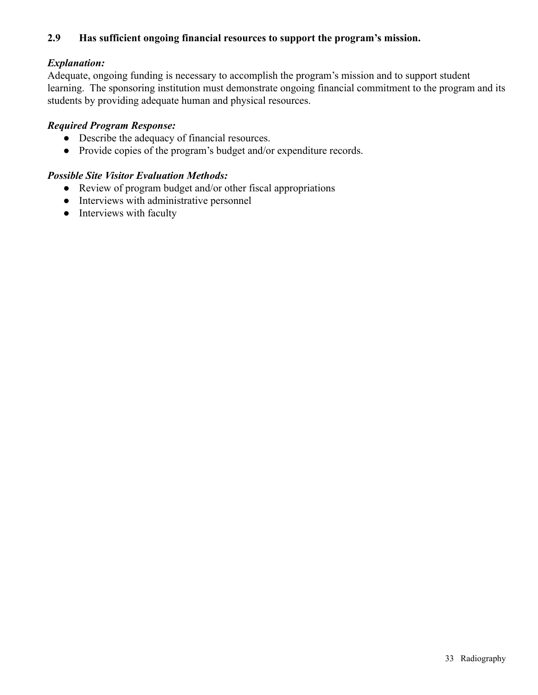## **2.9 Has sufficient ongoing financial resources to support the program's mission.**

## *Explanation:*

Adequate, ongoing funding is necessary to accomplish the program's mission and to support student learning. The sponsoring institution must demonstrate ongoing financial commitment to the program and its students by providing adequate human and physical resources.

## *Required Program Response:*

- Describe the adequacy of financial resources.
- Provide copies of the program's budget and/or expenditure records.

- Review of program budget and/or other fiscal appropriations
- Interviews with administrative personnel
- Interviews with faculty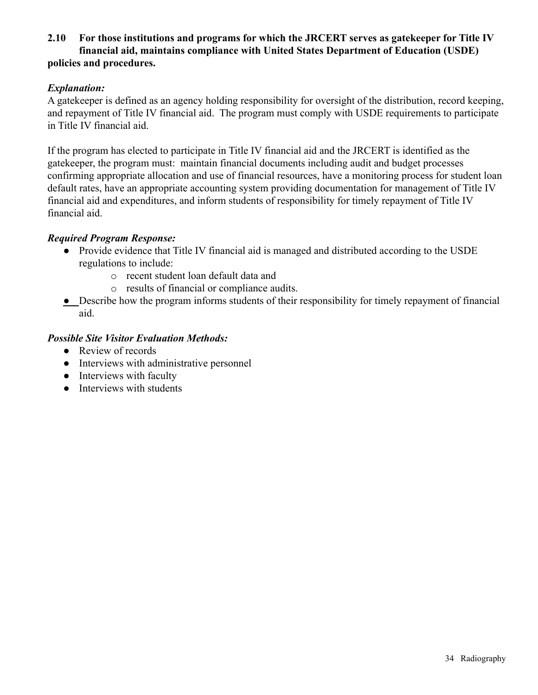## **2.10 For those institutions and programs for which the JRCERT serves as gatekeeper for Title IV financial aid, maintains compliance with United States Department of Education (USDE) policies and procedures.**

## *Explanation:*

A gatekeeper is defined as an agency holding responsibility for oversight of the distribution, record keeping, and repayment of Title IV financial aid. The program must comply with USDE requirements to participate in Title IV financial aid.

If the program has elected to participate in Title IV financial aid and the JRCERT is identified as the gatekeeper, the program must: maintain financial documents including audit and budget processes confirming appropriate allocation and use of financial resources, have a monitoring process for student loan default rates, have an appropriate accounting system providing documentation for management of Title IV financial aid and expenditures, and inform students of responsibility for timely repayment of Title IV financial aid.

## *Required Program Response:*

- Provide evidence that Title IV financial aid is managed and distributed according to the USDE regulations to include:
	- o recent student loan default data and
	- o results of financial or compliance audits.
- Describe how the program informs students of their responsibility for timely repayment of financial aid.

- Review of records
- Interviews with administrative personnel
- Interviews with faculty
- Interviews with students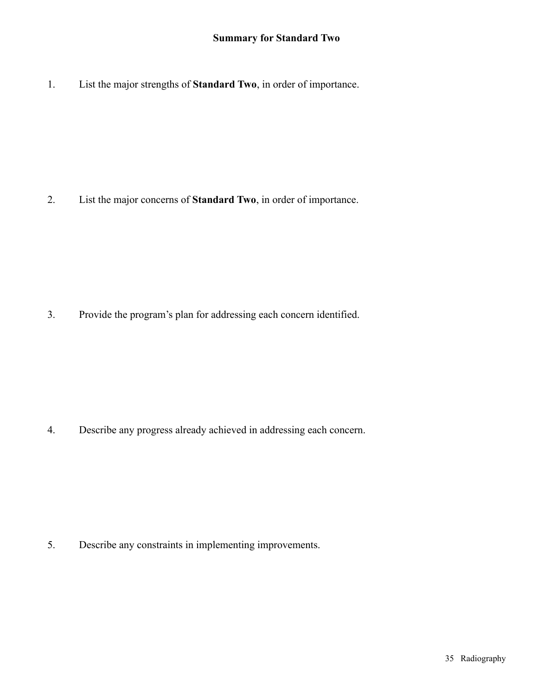1. List the major strengths of **Standard Two**, in order of importance.

2. List the major concerns of **Standard Two**, in order of importance.

3. Provide the program's plan for addressing each concern identified.

4. Describe any progress already achieved in addressing each concern.

5. Describe any constraints in implementing improvements.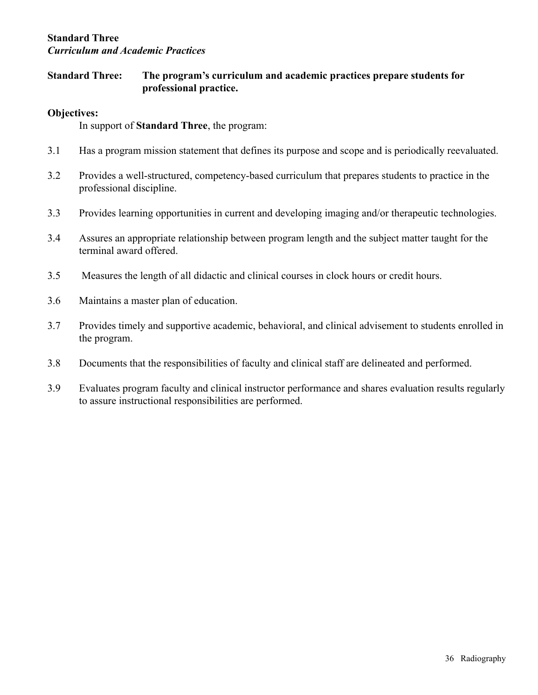## **Standard Three** *Curriculum and Academic Practices*

## **Standard Three: The program's curriculum and academic practices prepare students for professional practice.**

## **Objectives:**

In support of **Standard Three**, the program:

- 3.1 Has a program mission statement that defines its purpose and scope and is periodically reevaluated.
- 3.2 Provides a well-structured, competency-based curriculum that prepares students to practice in the professional discipline.
- 3.3 Provides learning opportunities in current and developing imaging and/or therapeutic technologies.
- 3.4 Assures an appropriate relationship between program length and the subject matter taught for the terminal award offered.
- 3.5 Measures the length of all didactic and clinical courses in clock hours or credit hours.
- 3.6 Maintains a master plan of education.
- 3.7 Provides timely and supportive academic, behavioral, and clinical advisement to students enrolled in the program.
- 3.8 Documents that the responsibilities of faculty and clinical staff are delineated and performed.
- 3.9 Evaluates program faculty and clinical instructor performance and shares evaluation results regularly to assure instructional responsibilities are performed.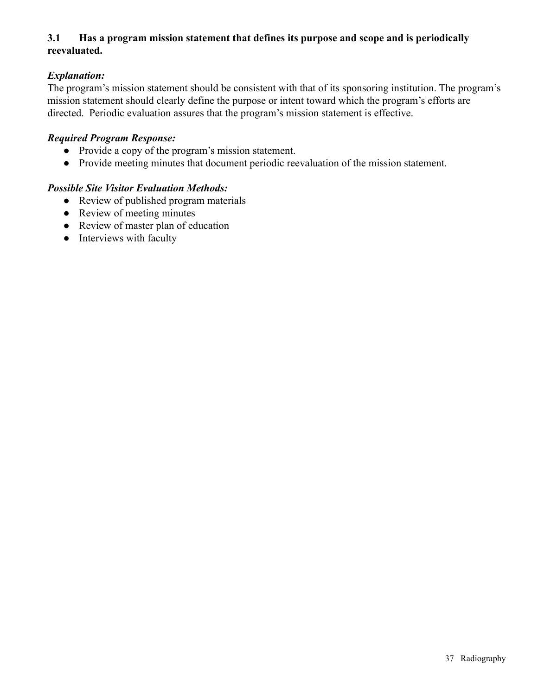# **3.1 Has a program mission statement that defines its purpose and scope and is periodically reevaluated.**

# *Explanation:*

The program's mission statement should be consistent with that of its sponsoring institution. The program's mission statement should clearly define the purpose or intent toward which the program's efforts are directed. Periodic evaluation assures that the program's mission statement is effective.

#### *Required Program Response:*

- Provide a copy of the program's mission statement.
- Provide meeting minutes that document periodic reevaluation of the mission statement.

- Review of published program materials
- Review of meeting minutes
- Review of master plan of education
- Interviews with faculty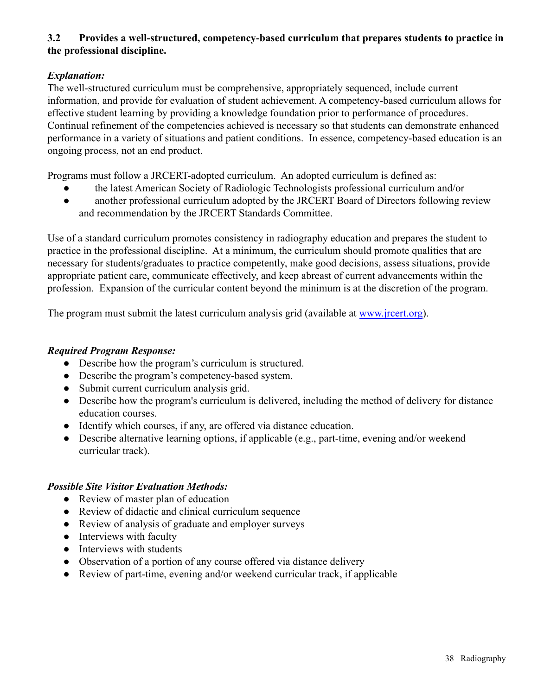# **3.2 Provides a well-structured, competency-based curriculum that prepares students to practice in the professional discipline.**

# *Explanation:*

The well-structured curriculum must be comprehensive, appropriately sequenced, include current information, and provide for evaluation of student achievement. A competency-based curriculum allows for effective student learning by providing a knowledge foundation prior to performance of procedures. Continual refinement of the competencies achieved is necessary so that students can demonstrate enhanced performance in a variety of situations and patient conditions. In essence, competency-based education is an ongoing process, not an end product.

Programs must follow a JRCERT-adopted curriculum. An adopted curriculum is defined as:

- the latest American Society of Radiologic Technologists professional curriculum and/or
- another professional curriculum adopted by the JRCERT Board of Directors following review and recommendation by the JRCERT Standards Committee.

Use of a standard curriculum promotes consistency in radiography education and prepares the student to practice in the professional discipline. At a minimum, the curriculum should promote qualities that are necessary for students/graduates to practice competently, make good decisions, assess situations, provide appropriate patient care, communicate effectively, and keep abreast of current advancements within the profession. Expansion of the curricular content beyond the minimum is at the discretion of the program.

The program must submit the latest curriculum analysis grid (available at [www.jrcert.org](http://www.jrcert.org)).

### *Required Program Response:*

- Describe how the program's curriculum is structured.
- Describe the program's competency-based system.
- Submit current curriculum analysis grid.
- Describe how the program's curriculum is delivered, including the method of delivery for distance education courses.
- Identify which courses, if any, are offered via distance education.
- Describe alternative learning options, if applicable (e.g., part-time, evening and/or weekend curricular track).

- Review of master plan of education
- Review of didactic and clinical curriculum sequence
- Review of analysis of graduate and employer surveys
- Interviews with faculty
- Interviews with students
- Observation of a portion of any course offered via distance delivery
- Review of part-time, evening and/or weekend curricular track, if applicable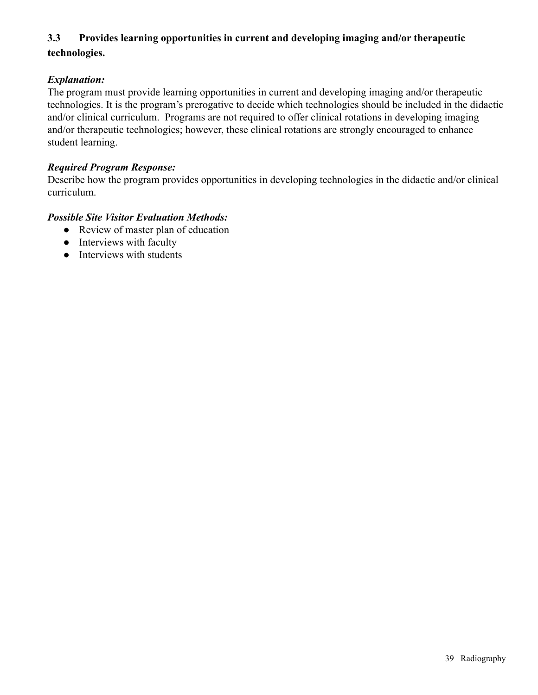# **3.3 Provides learning opportunities in current and developing imaging and/or therapeutic technologies.**

# *Explanation:*

The program must provide learning opportunities in current and developing imaging and/or therapeutic technologies. It is the program's prerogative to decide which technologies should be included in the didactic and/or clinical curriculum. Programs are not required to offer clinical rotations in developing imaging and/or therapeutic technologies; however, these clinical rotations are strongly encouraged to enhance student learning.

#### *Required Program Response:*

Describe how the program provides opportunities in developing technologies in the didactic and/or clinical curriculum.

- Review of master plan of education
- Interviews with faculty
- Interviews with students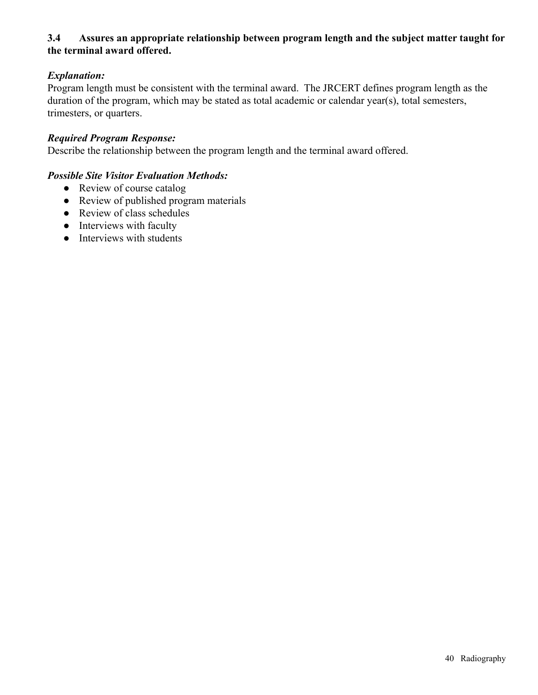### **3.4 Assures an appropriate relationship between program length and the subject matter taught for the terminal award offered.**

# *Explanation:*

Program length must be consistent with the terminal award. The JRCERT defines program length as the duration of the program, which may be stated as total academic or calendar year(s), total semesters, trimesters, or quarters.

#### *Required Program Response:*

Describe the relationship between the program length and the terminal award offered.

- Review of course catalog
- Review of published program materials
- Review of class schedules
- Interviews with faculty
- Interviews with students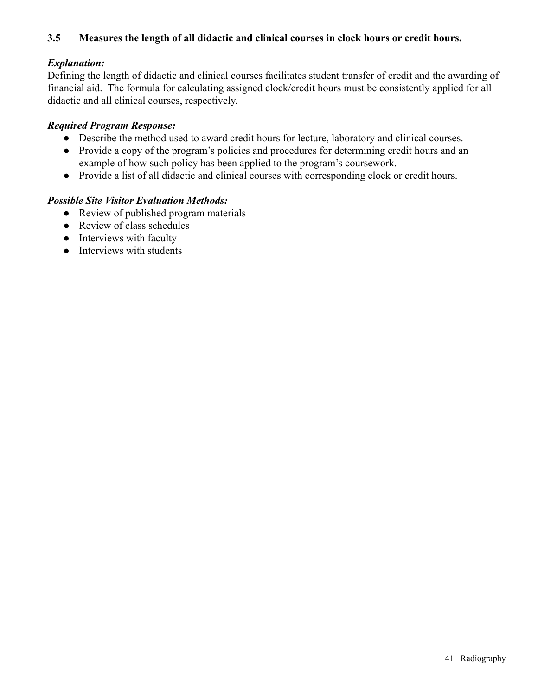### **3.5 Measures the length of all didactic and clinical courses in clock hours or credit hours.**

### *Explanation:*

Defining the length of didactic and clinical courses facilitates student transfer of credit and the awarding of financial aid. The formula for calculating assigned clock/credit hours must be consistently applied for all didactic and all clinical courses, respectively.

### *Required Program Response:*

- Describe the method used to award credit hours for lecture, laboratory and clinical courses.
- Provide a copy of the program's policies and procedures for determining credit hours and an example of how such policy has been applied to the program's coursework.
- Provide a list of all didactic and clinical courses with corresponding clock or credit hours.

- Review of published program materials
- Review of class schedules
- Interviews with faculty
- Interviews with students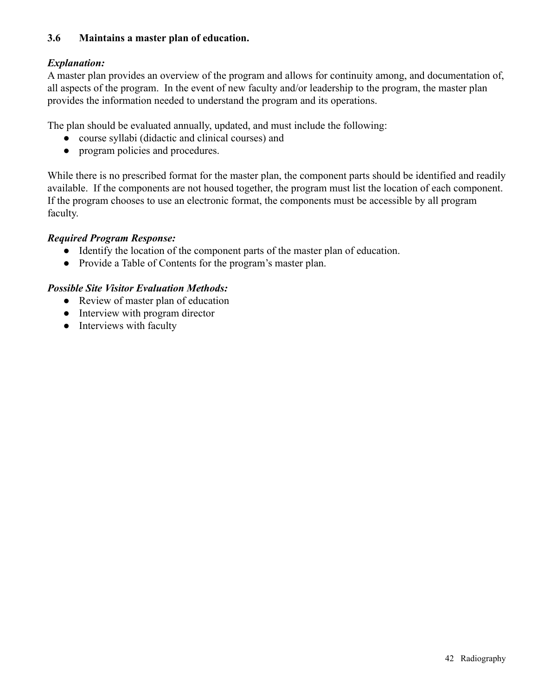### **3.6 Maintains a master plan of education.**

# *Explanation:*

A master plan provides an overview of the program and allows for continuity among, and documentation of, all aspects of the program. In the event of new faculty and/or leadership to the program, the master plan provides the information needed to understand the program and its operations.

The plan should be evaluated annually, updated, and must include the following:

- course syllabi (didactic and clinical courses) and
- program policies and procedures.

While there is no prescribed format for the master plan, the component parts should be identified and readily available. If the components are not housed together, the program must list the location of each component. If the program chooses to use an electronic format, the components must be accessible by all program faculty.

# *Required Program Response:*

- Identify the location of the component parts of the master plan of education.
- Provide a Table of Contents for the program's master plan.

- Review of master plan of education
- Interview with program director
- Interviews with faculty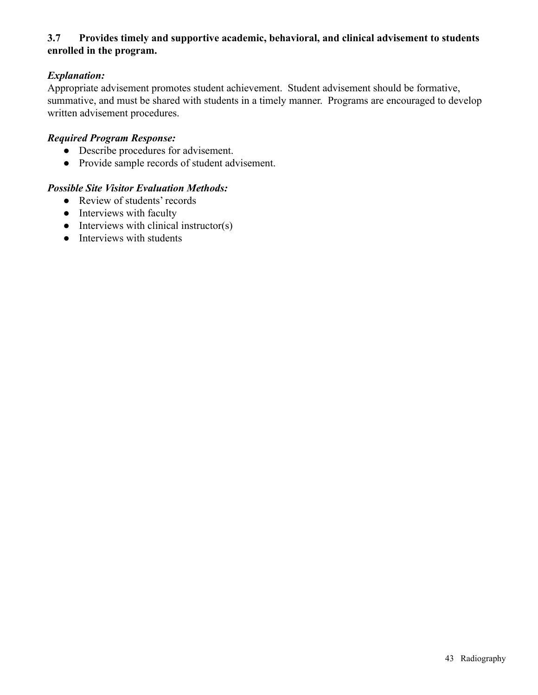# **3.7 Provides timely and supportive academic, behavioral, and clinical advisement to students enrolled in the program.**

# *Explanation:*

Appropriate advisement promotes student achievement. Student advisement should be formative, summative, and must be shared with students in a timely manner. Programs are encouraged to develop written advisement procedures.

#### *Required Program Response:*

- Describe procedures for advisement.
- Provide sample records of student advisement.

- Review of students' records
- Interviews with faculty
- $\bullet$  Interviews with clinical instructor(s)
- Interviews with students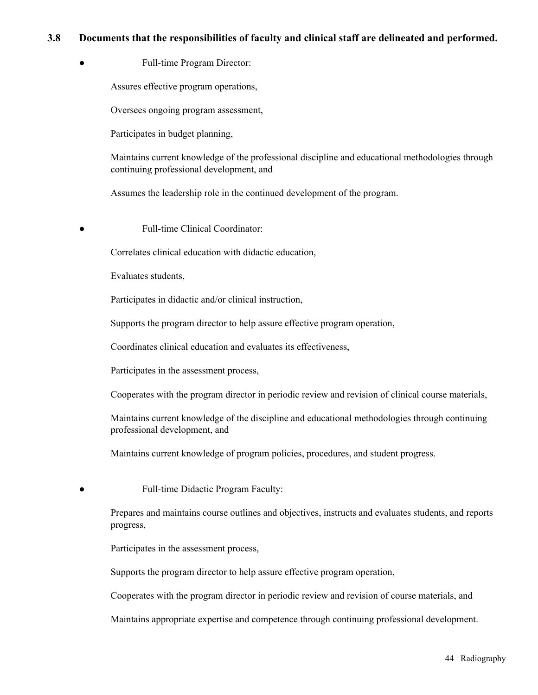#### **3.8 Documents that the responsibilities of faculty and clinical staff are delineated and performed.**

● Full-time Program Director:

Assures effective program operations,

Oversees ongoing program assessment,

Participates in budget planning,

Maintains current knowledge of the professional discipline and educational methodologies through continuing professional development, and

Assumes the leadership role in the continued development of the program.

**Full-time Clinical Coordinator:** 

Correlates clinical education with didactic education,

Evaluates students,

Participates in didactic and/or clinical instruction,

Supports the program director to help assure effective program operation,

Coordinates clinical education and evaluates its effectiveness,

Participates in the assessment process,

Cooperates with the program director in periodic review and revision of clinical course materials,

Maintains current knowledge of the discipline and educational methodologies through continuing professional development, and

Maintains current knowledge of program policies, procedures, and student progress.

Full-time Didactic Program Faculty:

Prepares and maintains course outlines and objectives, instructs and evaluates students, and reports progress,

Participates in the assessment process,

Supports the program director to help assure effective program operation,

Cooperates with the program director in periodic review and revision of course materials, and

Maintains appropriate expertise and competence through continuing professional development.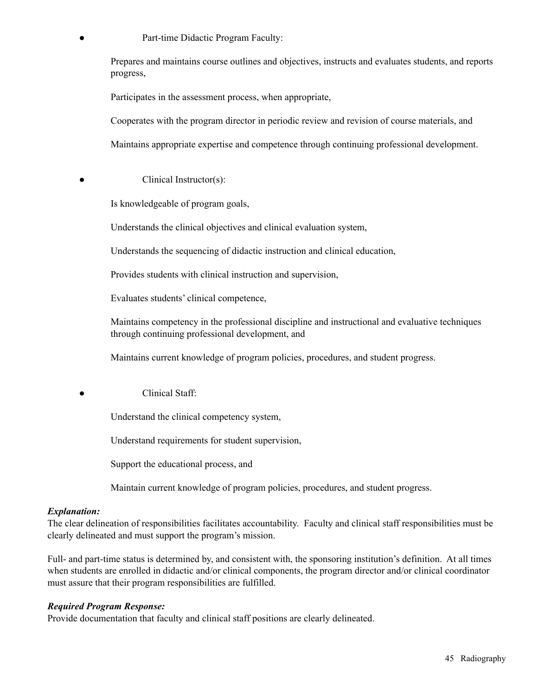Part-time Didactic Program Faculty:

Prepares and maintains course outlines and objectives, instructs and evaluates students, and reports progress,

Participates in the assessment process, when appropriate,

Cooperates with the program director in periodic review and revision of course materials, and

Maintains appropriate expertise and competence through continuing professional development.

Clinical Instructor(s):

Is knowledgeable of program goals,

Understands the clinical objectives and clinical evaluation system,

Understands the sequencing of didactic instruction and clinical education,

Provides students with clinical instruction and supervision,

Evaluates students' clinical competence,

Maintains competency in the professional discipline and instructional and evaluative techniques through continuing professional development, and

Maintains current knowledge of program policies, procedures, and student progress.

Clinical Staff:

Understand the clinical competency system,

Understand requirements for student supervision,

Support the educational process, and

Maintain current knowledge of program policies, procedures, and student progress.

#### *Explanation:*

The clear delineation of responsibilities facilitates accountability. Faculty and clinical staff responsibilities must be clearly delineated and must support the program's mission.

Full- and part-time status is determined by, and consistent with, the sponsoring institution's definition. At all times when students are enrolled in didactic and/or clinical components, the program director and/or clinical coordinator must assure that their program responsibilities are fulfilled.

#### *Required Program Response:*

Provide documentation that faculty and clinical staff positions are clearly delineated.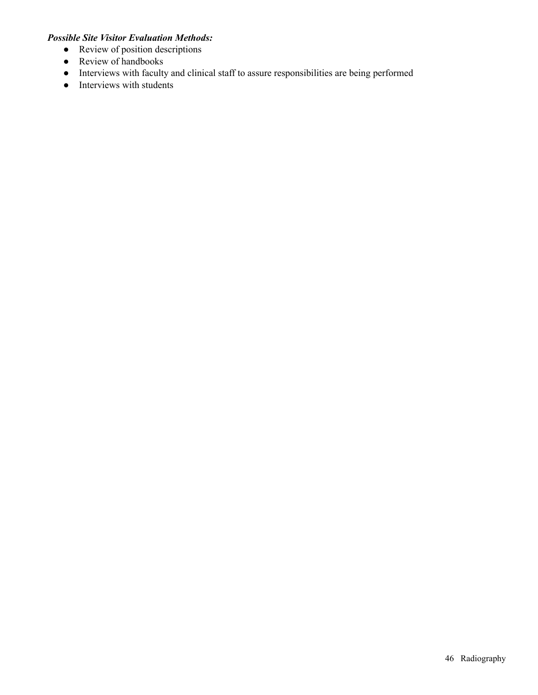- Review of position descriptions
- Review of handbooks
- Interviews with faculty and clinical staff to assure responsibilities are being performed
- Interviews with students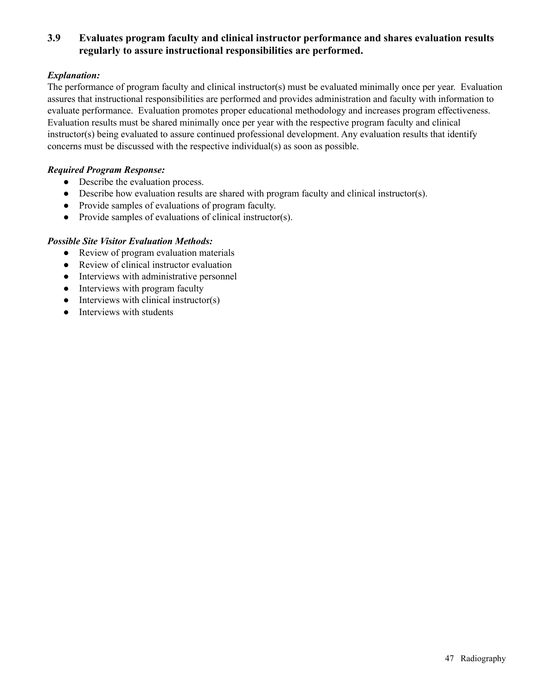### **3.9 Evaluates program faculty and clinical instructor performance and shares evaluation results regularly to assure instructional responsibilities are performed.**

#### *Explanation:*

The performance of program faculty and clinical instructor(s) must be evaluated minimally once per year. Evaluation assures that instructional responsibilities are performed and provides administration and faculty with information to evaluate performance. Evaluation promotes proper educational methodology and increases program effectiveness. Evaluation results must be shared minimally once per year with the respective program faculty and clinical instructor(s) being evaluated to assure continued professional development. Any evaluation results that identify concerns must be discussed with the respective individual(s) as soon as possible.

#### *Required Program Response:*

- Describe the evaluation process.
- Describe how evaluation results are shared with program faculty and clinical instructor(s).
- Provide samples of evaluations of program faculty.
- Provide samples of evaluations of clinical instructor(s).

- Review of program evaluation materials
- Review of clinical instructor evaluation
- Interviews with administrative personnel
- Interviews with program faculty
- $\bullet$  Interviews with clinical instructor(s)
- Interviews with students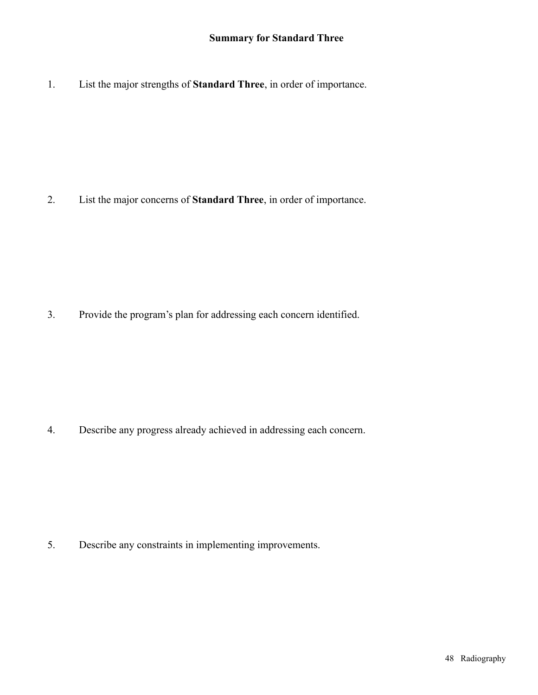1. List the major strengths of **Standard Three**, in order of importance.

2. List the major concerns of **Standard Three**, in order of importance.

3. Provide the program's plan for addressing each concern identified.

4. Describe any progress already achieved in addressing each concern.

5. Describe any constraints in implementing improvements.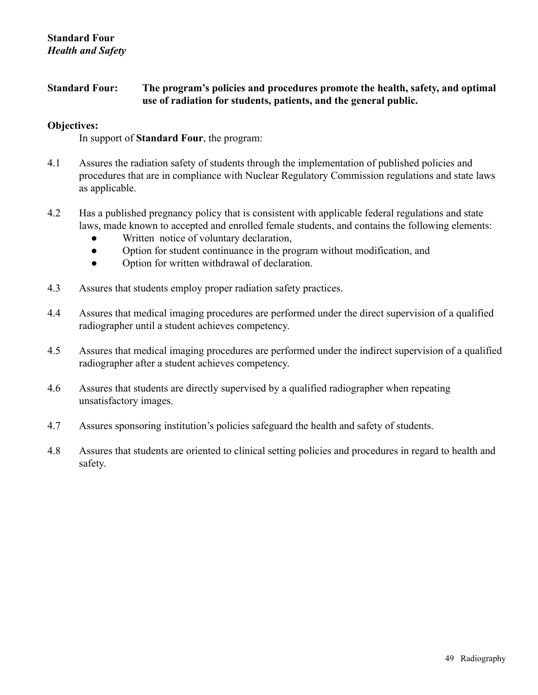### **Standard Four: The program's policies and procedures promote the health, safety, and optimal use of radiation for students, patients, and the general public.**

#### **Objectives:**

In support of **Standard Four**, the program:

- 4.1 Assures the radiation safety of students through the implementation of published policies and procedures that are in compliance with Nuclear Regulatory Commission regulations and state laws as applicable.
- 4.2 Has a published pregnancy policy that is consistent with applicable federal regulations and state laws, made known to accepted and enrolled female students, and contains the following elements:
	- Written notice of voluntary declaration,
	- Option for student continuance in the program without modification, and
	- Option for written withdrawal of declaration.
- 4.3 Assures that students employ proper radiation safety practices.
- 4.4 Assures that medical imaging procedures are performed under the direct supervision of a qualified radiographer until a student achieves competency.
- 4.5 Assures that medical imaging procedures are performed under the indirect supervision of a qualified radiographer after a student achieves competency.
- 4.6 Assures that students are directly supervised by a qualified radiographer when repeating unsatisfactory images.
- 4.7 Assures sponsoring institution's policies safeguard the health and safety of students.
- 4.8 Assures that students are oriented to clinical setting policies and procedures in regard to health and safety.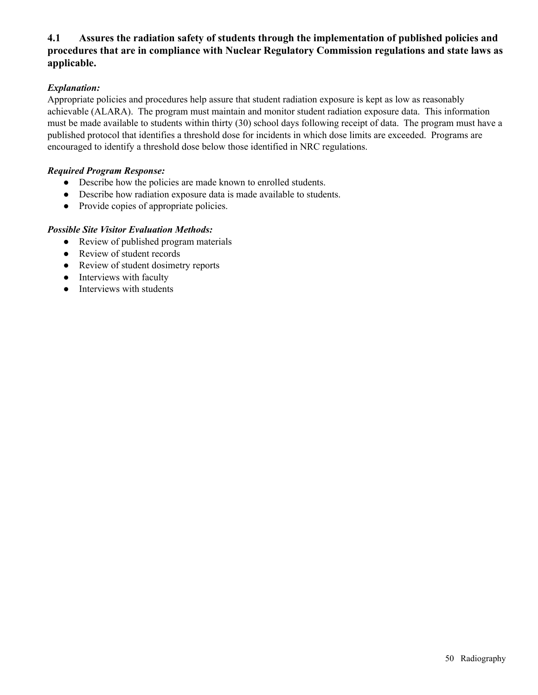### **4.1 Assures the radiation safety of students through the implementation of published policies and procedures that are in compliance with Nuclear Regulatory Commission regulations and state laws as applicable.**

#### *Explanation:*

Appropriate policies and procedures help assure that student radiation exposure is kept as low as reasonably achievable (ALARA). The program must maintain and monitor student radiation exposure data. This information must be made available to students within thirty (30) school days following receipt of data. The program must have a published protocol that identifies a threshold dose for incidents in which dose limits are exceeded. Programs are encouraged to identify a threshold dose below those identified in NRC regulations.

#### *Required Program Response:*

- Describe how the policies are made known to enrolled students.
- Describe how radiation exposure data is made available to students.
- Provide copies of appropriate policies.

- Review of published program materials
- Review of student records
- Review of student dosimetry reports
- Interviews with faculty
- Interviews with students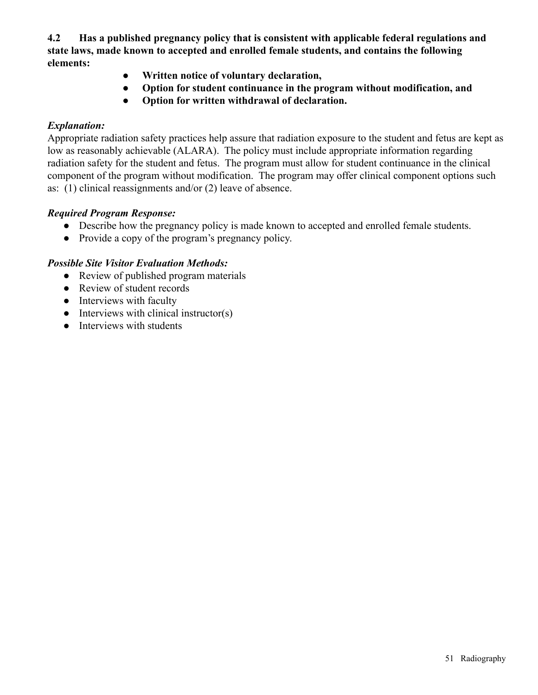**4.2 Has a published pregnancy policy that is consistent with applicable federal regulations and state laws, made known to accepted and enrolled female students, and contains the following elements:**

- **Written notice of voluntary declaration,**
- **Option for student continuance in the program without modification, and**
- **Option for written withdrawal of declaration.**

### *Explanation:*

Appropriate radiation safety practices help assure that radiation exposure to the student and fetus are kept as low as reasonably achievable (ALARA). The policy must include appropriate information regarding radiation safety for the student and fetus. The program must allow for student continuance in the clinical component of the program without modification. The program may offer clinical component options such as: (1) clinical reassignments and/or (2) leave of absence.

# *Required Program Response:*

- Describe how the pregnancy policy is made known to accepted and enrolled female students.
- Provide a copy of the program's pregnancy policy.

- Review of published program materials
- Review of student records
- Interviews with faculty
- $\bullet$  Interviews with clinical instructor(s)
- Interviews with students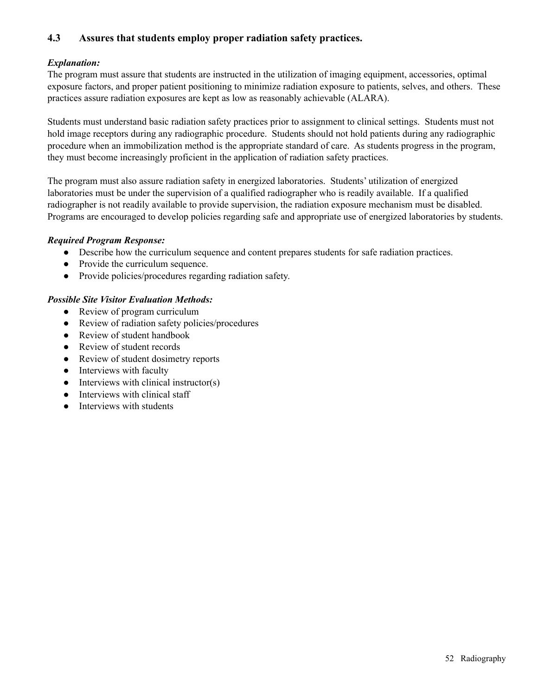### **4.3 Assures that students employ proper radiation safety practices.**

#### *Explanation:*

The program must assure that students are instructed in the utilization of imaging equipment, accessories, optimal exposure factors, and proper patient positioning to minimize radiation exposure to patients, selves, and others. These practices assure radiation exposures are kept as low as reasonably achievable (ALARA).

Students must understand basic radiation safety practices prior to assignment to clinical settings. Students must not hold image receptors during any radiographic procedure. Students should not hold patients during any radiographic procedure when an immobilization method is the appropriate standard of care. As students progress in the program, they must become increasingly proficient in the application of radiation safety practices.

The program must also assure radiation safety in energized laboratories. Students' utilization of energized laboratories must be under the supervision of a qualified radiographer who is readily available. If a qualified radiographer is not readily available to provide supervision, the radiation exposure mechanism must be disabled. Programs are encouraged to develop policies regarding safe and appropriate use of energized laboratories by students.

#### *Required Program Response:*

- Describe how the curriculum sequence and content prepares students for safe radiation practices.
- Provide the curriculum sequence.
- Provide policies/procedures regarding radiation safety.

- Review of program curriculum
- Review of radiation safety policies/procedures
- Review of student handbook
- Review of student records
- Review of student dosimetry reports
- Interviews with faculty
- $\bullet$  Interviews with clinical instructor(s)
- Interviews with clinical staff
- Interviews with students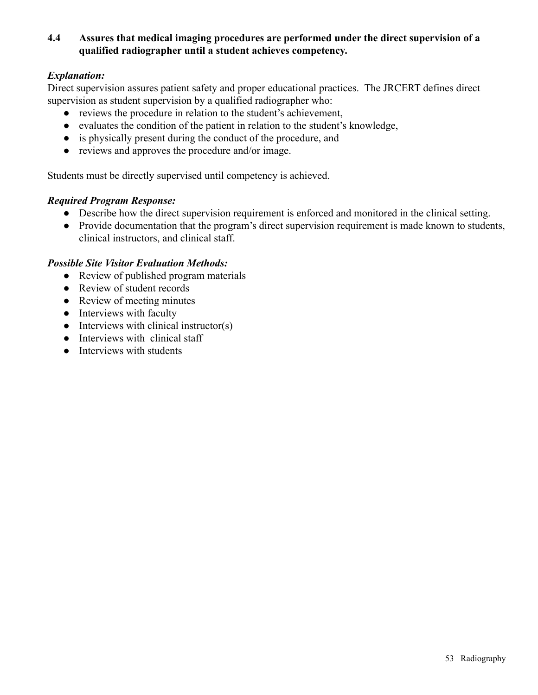### **4.4 Assures that medical imaging procedures are performed under the direct supervision of a qualified radiographer until a student achieves competency.**

# *Explanation:*

Direct supervision assures patient safety and proper educational practices. The JRCERT defines direct supervision as student supervision by a qualified radiographer who:

- reviews the procedure in relation to the student's achievement,
- evaluates the condition of the patient in relation to the student's knowledge,
- is physically present during the conduct of the procedure, and
- reviews and approves the procedure and/or image.

Students must be directly supervised until competency is achieved.

### *Required Program Response:*

- Describe how the direct supervision requirement is enforced and monitored in the clinical setting.
- Provide documentation that the program's direct supervision requirement is made known to students, clinical instructors, and clinical staff.

- Review of published program materials
- Review of student records
- Review of meeting minutes
- Interviews with faculty
- $\bullet$  Interviews with clinical instructor(s)
- Interviews with clinical staff
- Interviews with students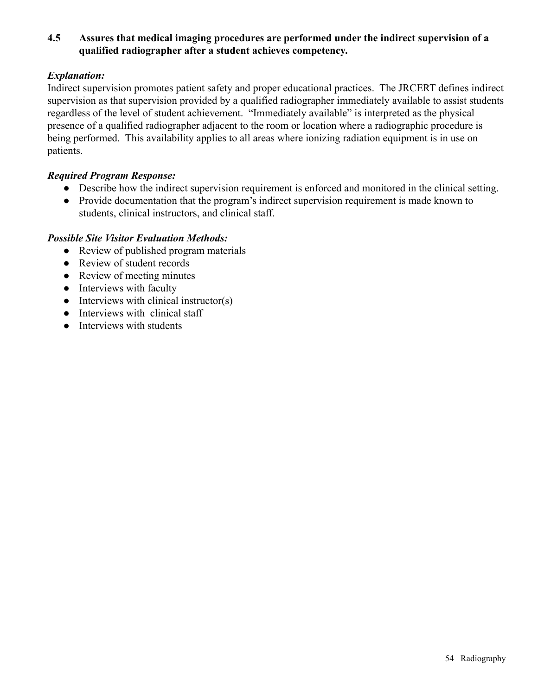# **4.5 Assures that medical imaging procedures are performed under the indirect supervision of a qualified radiographer after a student achieves competency.**

### *Explanation:*

Indirect supervision promotes patient safety and proper educational practices. The JRCERT defines indirect supervision as that supervision provided by a qualified radiographer immediately available to assist students regardless of the level of student achievement. "Immediately available" is interpreted as the physical presence of a qualified radiographer adjacent to the room or location where a radiographic procedure is being performed. This availability applies to all areas where ionizing radiation equipment is in use on patients.

#### *Required Program Response:*

- Describe how the indirect supervision requirement is enforced and monitored in the clinical setting.
- Provide documentation that the program's indirect supervision requirement is made known to students, clinical instructors, and clinical staff.

- Review of published program materials
- Review of student records
- Review of meeting minutes
- Interviews with faculty
- $\bullet$  Interviews with clinical instructor(s)
- Interviews with clinical staff
- Interviews with students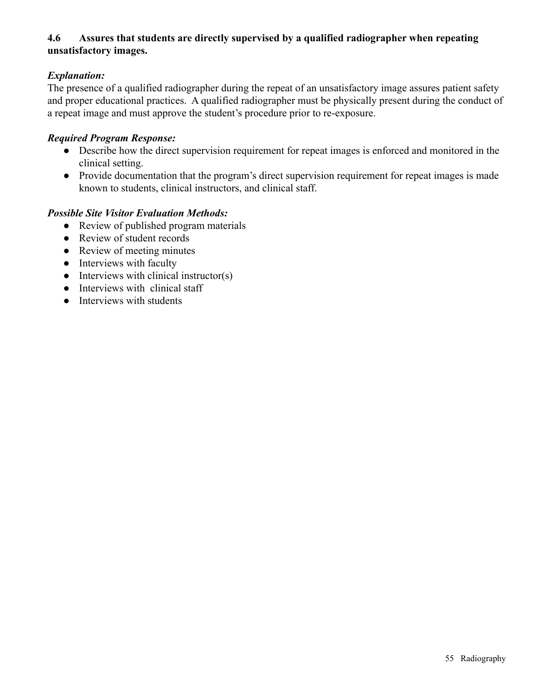# **4.6 Assures that students are directly supervised by a qualified radiographer when repeating unsatisfactory images.**

# *Explanation:*

The presence of a qualified radiographer during the repeat of an unsatisfactory image assures patient safety and proper educational practices. A qualified radiographer must be physically present during the conduct of a repeat image and must approve the student's procedure prior to re-exposure.

#### *Required Program Response:*

- Describe how the direct supervision requirement for repeat images is enforced and monitored in the clinical setting.
- Provide documentation that the program's direct supervision requirement for repeat images is made known to students, clinical instructors, and clinical staff.

- Review of published program materials
- Review of student records
- Review of meeting minutes
- Interviews with faculty
- $\bullet$  Interviews with clinical instructor(s)
- Interviews with clinical staff
- Interviews with students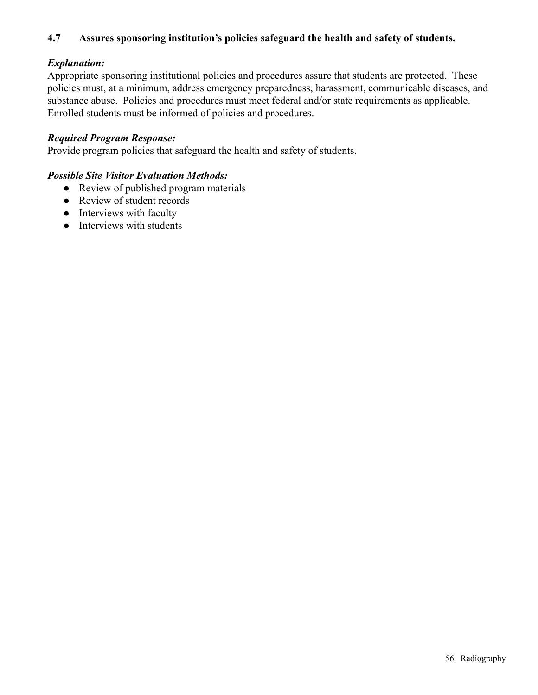## **4.7 Assures sponsoring institution's policies safeguard the health and safety of students.**

### *Explanation:*

Appropriate sponsoring institutional policies and procedures assure that students are protected. These policies must, at a minimum, address emergency preparedness, harassment, communicable diseases, and substance abuse. Policies and procedures must meet federal and/or state requirements as applicable. Enrolled students must be informed of policies and procedures.

#### *Required Program Response:*

Provide program policies that safeguard the health and safety of students.

- Review of published program materials
- Review of student records
- Interviews with faculty
- Interviews with students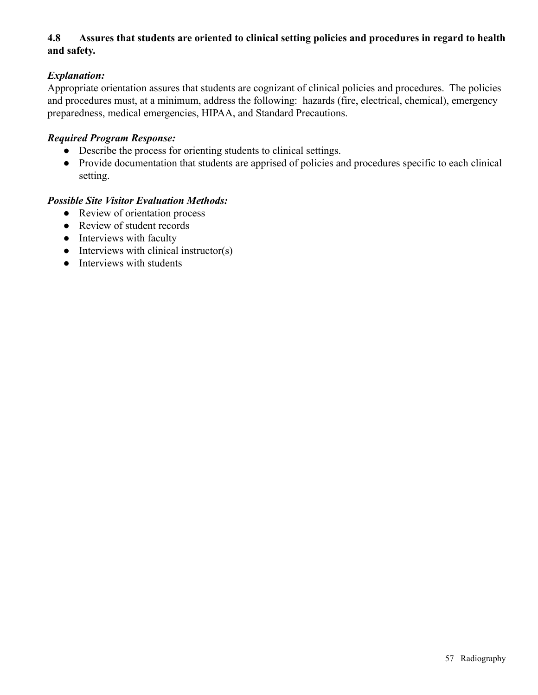# **4.8 Assures that students are oriented to clinical setting policies and procedures in regard to health and safety.**

# *Explanation:*

Appropriate orientation assures that students are cognizant of clinical policies and procedures. The policies and procedures must, at a minimum, address the following: hazards (fire, electrical, chemical), emergency preparedness, medical emergencies, HIPAA, and Standard Precautions.

#### *Required Program Response:*

- Describe the process for orienting students to clinical settings.
- Provide documentation that students are apprised of policies and procedures specific to each clinical setting.

- Review of orientation process
- Review of student records
- Interviews with faculty
- $\bullet$  Interviews with clinical instructor(s)
- Interviews with students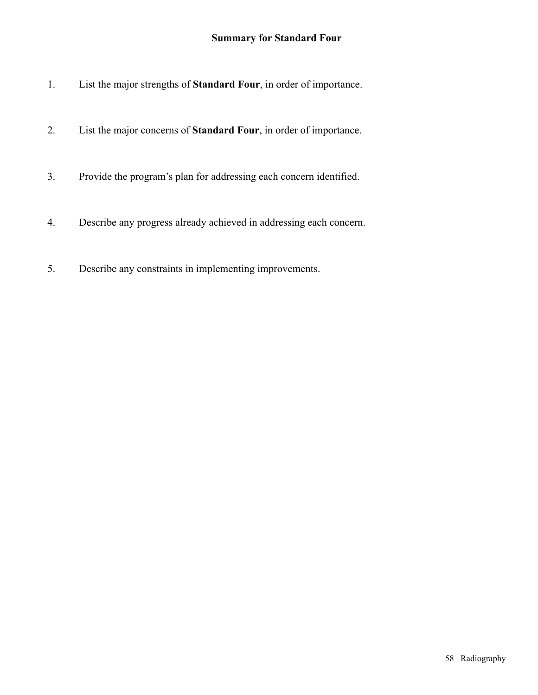# **Summary for Standard Four**

- 1. List the major strengths of **Standard Four**, in order of importance.
- 2. List the major concerns of **Standard Four**, in order of importance.
- 3. Provide the program's plan for addressing each concern identified.
- 4. Describe any progress already achieved in addressing each concern.
- 5. Describe any constraints in implementing improvements.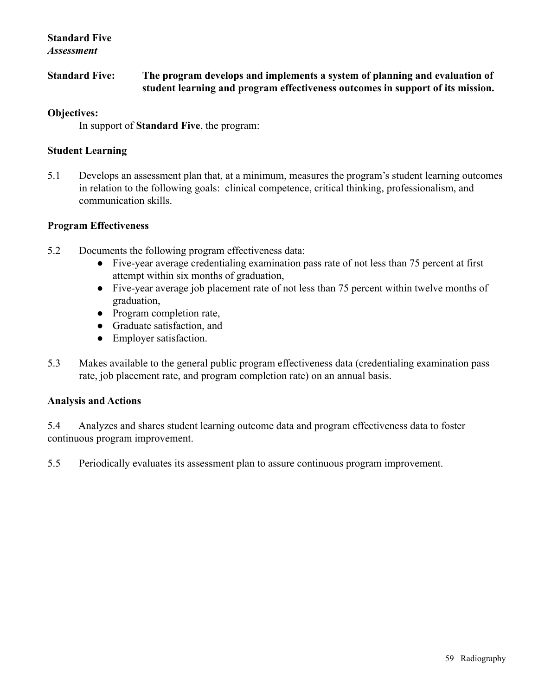#### **Standard Five** *Assessment*

**Standard Five: The program develops and implements a system of planning and evaluation of student learning and program effectiveness outcomes in support of its mission.**

#### **Objectives:**

In support of **Standard Five**, the program:

#### **Student Learning**

5.1 Develops an assessment plan that, at a minimum, measures the program's student learning outcomes in relation to the following goals: clinical competence, critical thinking, professionalism, and communication skills.

#### **Program Effectiveness**

- 5.2 Documents the following program effectiveness data:
	- Five-year average credentialing examination pass rate of not less than 75 percent at first attempt within six months of graduation,
	- Five-year average job placement rate of not less than 75 percent within twelve months of graduation,
	- Program completion rate,
	- Graduate satisfaction, and
	- Employer satisfaction.
- 5.3 Makes available to the general public program effectiveness data (credentialing examination pass rate, job placement rate, and program completion rate) on an annual basis.

#### **Analysis and Actions**

5.4 Analyzes and shares student learning outcome data and program effectiveness data to foster continuous program improvement.

5.5 Periodically evaluates its assessment plan to assure continuous program improvement.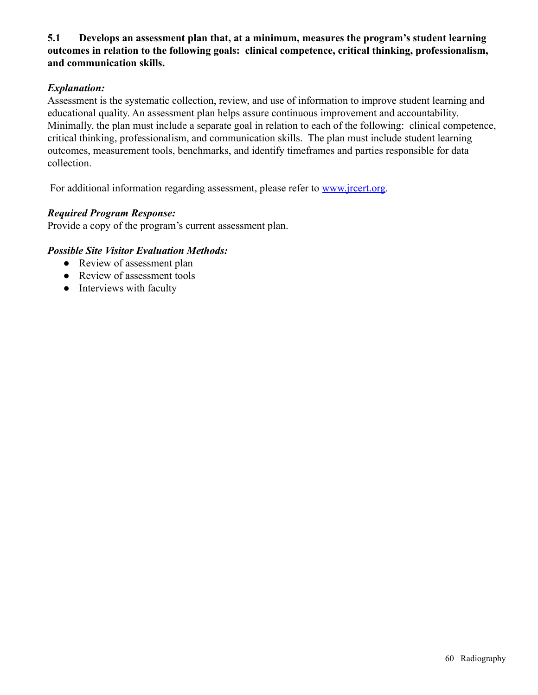### **5.1 Develops an assessment plan that, at a minimum, measures the program's student learning outcomes in relation to the following goals: clinical competence, critical thinking, professionalism, and communication skills.**

### *Explanation:*

Assessment is the systematic collection, review, and use of information to improve student learning and educational quality. An assessment plan helps assure continuous improvement and accountability. Minimally, the plan must include a separate goal in relation to each of the following: clinical competence, critical thinking, professionalism, and communication skills. The plan must include student learning outcomes, measurement tools, benchmarks, and identify timeframes and parties responsible for data collection.

For additional information regarding assessment, please refer to [www.jrcert.org.](http://www.jrcert.org)

### *Required Program Response:*

Provide a copy of the program's current assessment plan.

- Review of assessment plan
- Review of assessment tools
- Interviews with faculty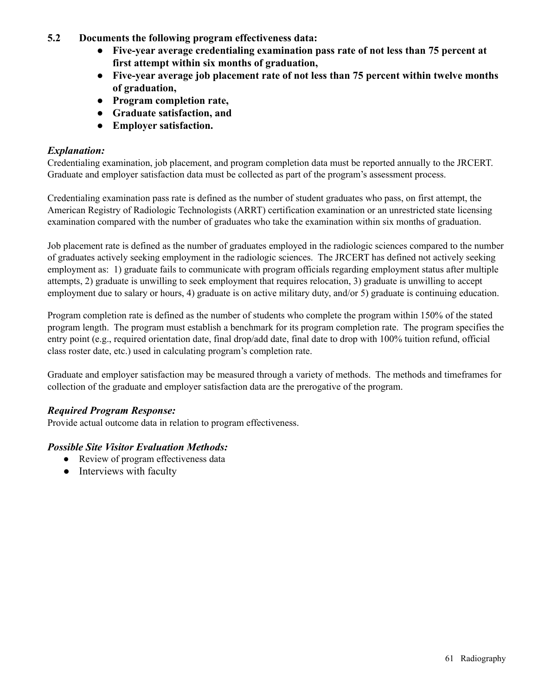- **5.2 Documents the following program effectiveness data:**
	- **Five-year average credentialing examination pass rate of not less than 75 percent at first attempt within six months of graduation,**
	- **Five-year average job placement rate of not less than 75 percent within twelve months of graduation,**
	- **Program completion rate,**
	- **Graduate satisfaction, and**
	- **Employer satisfaction.**

### *Explanation:*

Credentialing examination, job placement, and program completion data must be reported annually to the JRCERT. Graduate and employer satisfaction data must be collected as part of the program's assessment process.

Credentialing examination pass rate is defined as the number of student graduates who pass, on first attempt, the American Registry of Radiologic Technologists (ARRT) certification examination or an unrestricted state licensing examination compared with the number of graduates who take the examination within six months of graduation.

Job placement rate is defined as the number of graduates employed in the radiologic sciences compared to the number of graduates actively seeking employment in the radiologic sciences. The JRCERT has defined not actively seeking employment as: 1) graduate fails to communicate with program officials regarding employment status after multiple attempts, 2) graduate is unwilling to seek employment that requires relocation, 3) graduate is unwilling to accept employment due to salary or hours, 4) graduate is on active military duty, and/or 5) graduate is continuing education.

Program completion rate is defined as the number of students who complete the program within 150% of the stated program length. The program must establish a benchmark for its program completion rate. The program specifies the entry point (e.g., required orientation date, final drop/add date, final date to drop with 100% tuition refund, official class roster date, etc.) used in calculating program's completion rate.

Graduate and employer satisfaction may be measured through a variety of methods. The methods and timeframes for collection of the graduate and employer satisfaction data are the prerogative of the program.

# *Required Program Response:*

Provide actual outcome data in relation to program effectiveness.

- Review of program effectiveness data
- Interviews with faculty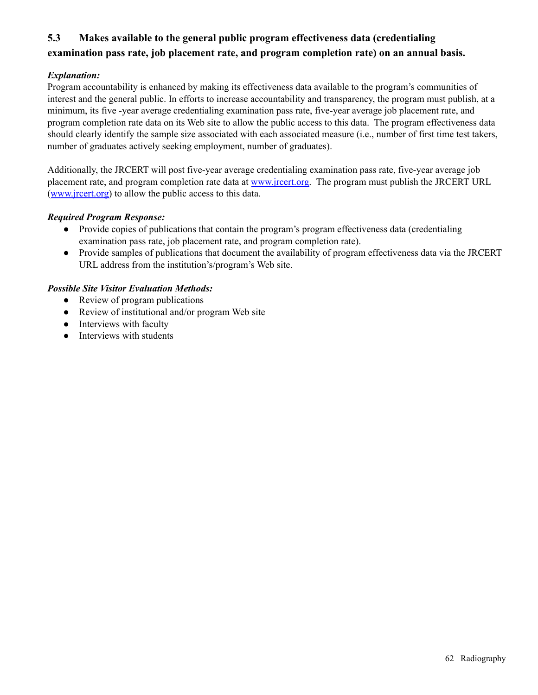# **5.3 Makes available to the general public program effectiveness data (credentialing examination pass rate, job placement rate, and program completion rate) on an annual basis.**

#### *Explanation:*

Program accountability is enhanced by making its effectiveness data available to the program's communities of interest and the general public. In efforts to increase accountability and transparency, the program must publish, at a minimum, its five -year average credentialing examination pass rate, five-year average job placement rate, and program completion rate data on its Web site to allow the public access to this data. The program effectiveness data should clearly identify the sample size associated with each associated measure (i.e., number of first time test takers, number of graduates actively seeking employment, number of graduates).

Additionally, the JRCERT will post five-year average credentialing examination pass rate, five-year average job placement rate, and program completion rate data at [www.jrcert.org.](http://www.jrcert.org) The program must publish the JRCERT URL ([www.jrcert.org\)](http://www.jrcert.org) to allow the public access to this data.

#### *Required Program Response:*

- Provide copies of publications that contain the program's program effectiveness data (credentialing examination pass rate, job placement rate, and program completion rate).
- Provide samples of publications that document the availability of program effectiveness data via the JRCERT URL address from the institution's/program's Web site.

- Review of program publications
- Review of institutional and/or program Web site
- Interviews with faculty
- Interviews with students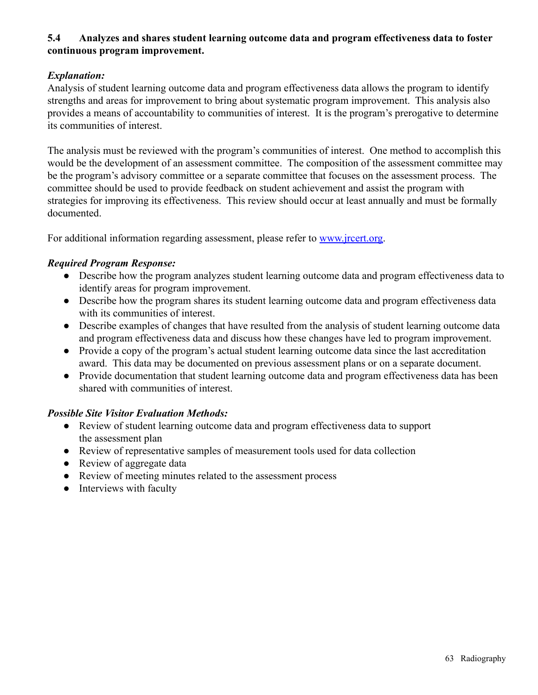## **5.4 Analyzes and shares student learning outcome data and program effectiveness data to foster continuous program improvement.**

### *Explanation:*

Analysis of student learning outcome data and program effectiveness data allows the program to identify strengths and areas for improvement to bring about systematic program improvement. This analysis also provides a means of accountability to communities of interest. It is the program's prerogative to determine its communities of interest.

The analysis must be reviewed with the program's communities of interest. One method to accomplish this would be the development of an assessment committee. The composition of the assessment committee may be the program's advisory committee or a separate committee that focuses on the assessment process. The committee should be used to provide feedback on student achievement and assist the program with strategies for improving its effectiveness. This review should occur at least annually and must be formally documented.

For additional information regarding assessment, please refer to [www.jrcert.org.](http://www.jrcert.org)

#### *Required Program Response:*

- Describe how the program analyzes student learning outcome data and program effectiveness data to identify areas for program improvement.
- Describe how the program shares its student learning outcome data and program effectiveness data with its communities of interest.
- Describe examples of changes that have resulted from the analysis of student learning outcome data and program effectiveness data and discuss how these changes have led to program improvement.
- Provide a copy of the program's actual student learning outcome data since the last accreditation award. This data may be documented on previous assessment plans or on a separate document.
- Provide documentation that student learning outcome data and program effectiveness data has been shared with communities of interest.

- Review of student learning outcome data and program effectiveness data to support the assessment plan
- Review of representative samples of measurement tools used for data collection
- Review of aggregate data
- Review of meeting minutes related to the assessment process
- Interviews with faculty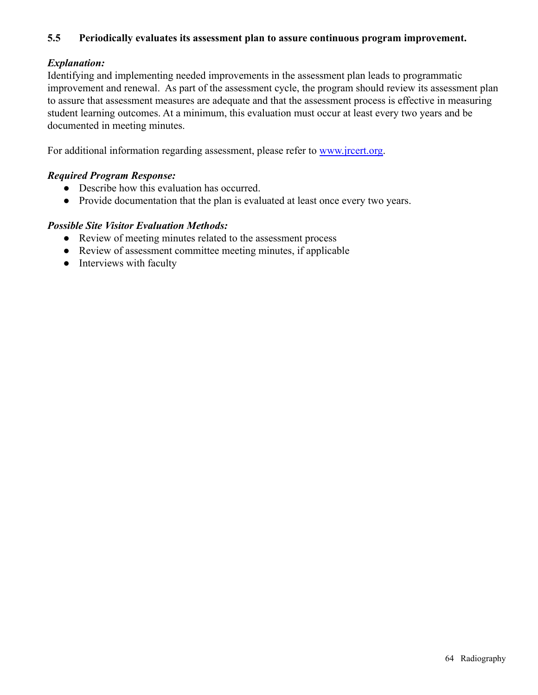### **5.5 Periodically evaluates its assessment plan to assure continuous program improvement.**

### *Explanation:*

Identifying and implementing needed improvements in the assessment plan leads to programmatic improvement and renewal. As part of the assessment cycle, the program should review its assessment plan to assure that assessment measures are adequate and that the assessment process is effective in measuring student learning outcomes. At a minimum, this evaluation must occur at least every two years and be documented in meeting minutes.

For additional information regarding assessment, please refer to [www.jrcert.org.](http://www.jrcert.org)

#### *Required Program Response:*

- Describe how this evaluation has occurred.
- Provide documentation that the plan is evaluated at least once every two years.

- Review of meeting minutes related to the assessment process
- Review of assessment committee meeting minutes, if applicable
- Interviews with faculty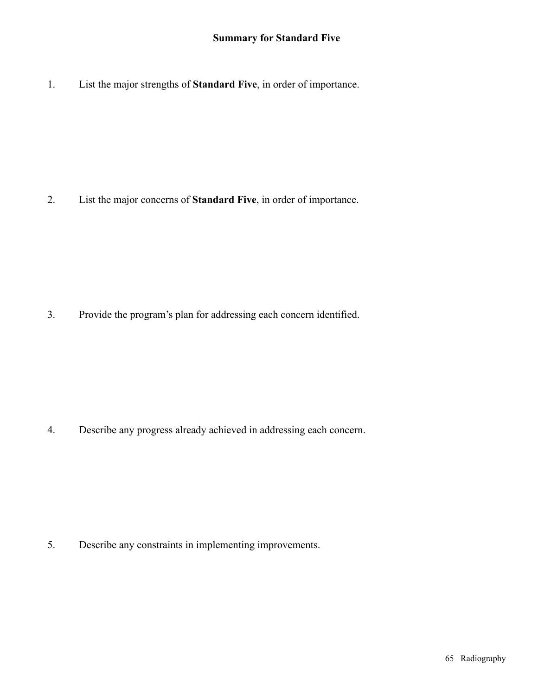1. List the major strengths of **Standard Five**, in order of importance.

2. List the major concerns of **Standard Five**, in order of importance.

3. Provide the program's plan for addressing each concern identified.

4. Describe any progress already achieved in addressing each concern.

5. Describe any constraints in implementing improvements.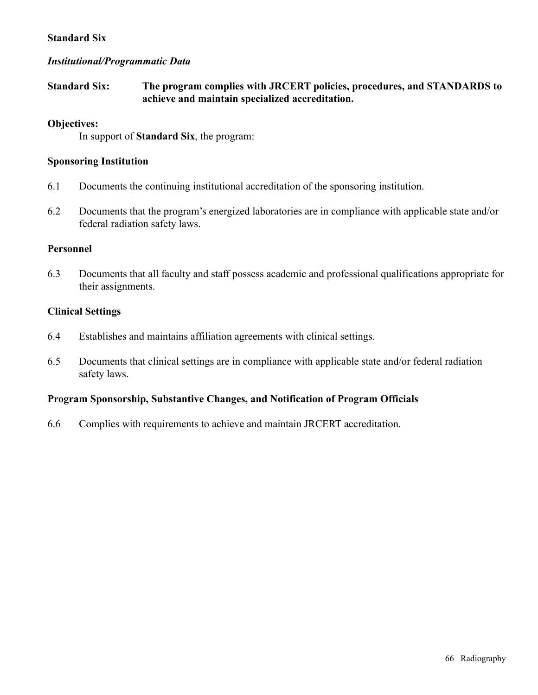#### **Standard Six**

#### *Institutional/Programmatic Data*

### **Standard Six: The program complies with JRCERT policies, procedures, and STANDARDS to achieve and maintain specialized accreditation.**

#### **Objectives:**

In support of **Standard Six**, the program:

#### **Sponsoring Institution**

- 6.1 Documents the continuing institutional accreditation of the sponsoring institution.
- 6.2 Documents that the program's energized laboratories are in compliance with applicable state and/or federal radiation safety laws.

#### **Personnel**

6.3 Documents that all faculty and staff possess academic and professional qualifications appropriate for their assignments.

#### **Clinical Settings**

- 6.4 Establishes and maintains affiliation agreements with clinical settings.
- 6.5 Documents that clinical settings are in compliance with applicable state and/or federal radiation safety laws.

#### **Program Sponsorship, Substantive Changes, and Notification of Program Officials**

6.6 Complies with requirements to achieve and maintain JRCERT accreditation.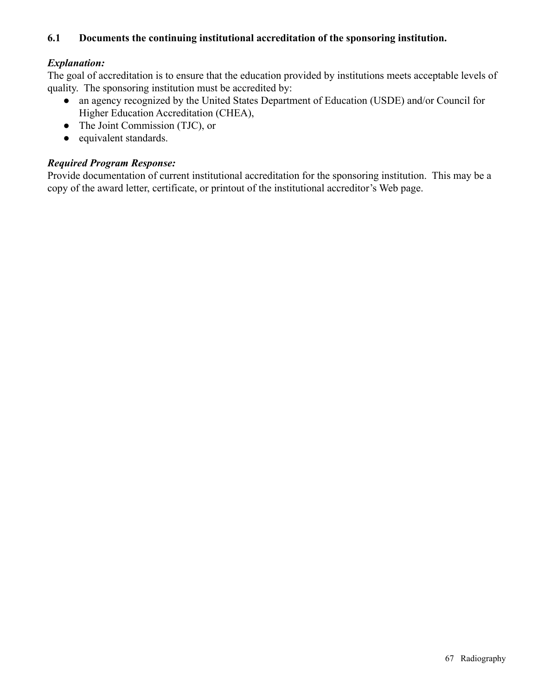### **6.1 Documents the continuing institutional accreditation of the sponsoring institution.**

### *Explanation:*

The goal of accreditation is to ensure that the education provided by institutions meets acceptable levels of quality. The sponsoring institution must be accredited by:

- an agency recognized by the United States Department of Education (USDE) and/or Council for Higher Education Accreditation (CHEA),
- The Joint Commission (TJC), or
- equivalent standards.

### *Required Program Response:*

Provide documentation of current institutional accreditation for the sponsoring institution. This may be a copy of the award letter, certificate, or printout of the institutional accreditor's Web page.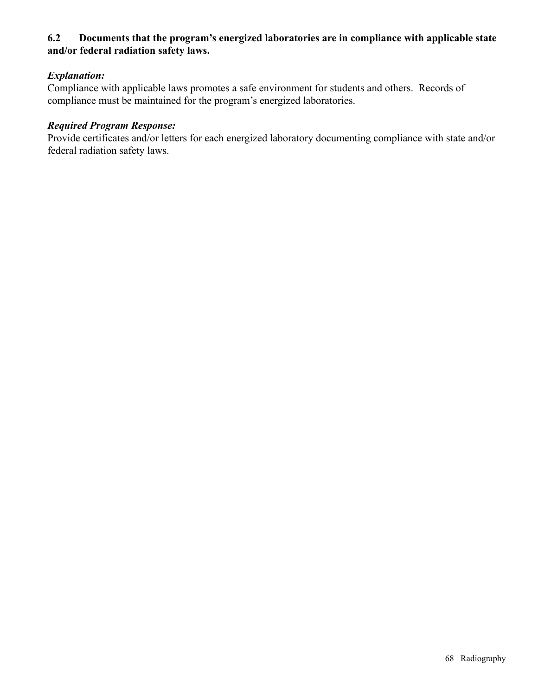### **6.2 Documents that the program's energized laboratories are in compliance with applicable state and/or federal radiation safety laws.**

### *Explanation:*

Compliance with applicable laws promotes a safe environment for students and others. Records of compliance must be maintained for the program's energized laboratories.

### *Required Program Response:*

Provide certificates and/or letters for each energized laboratory documenting compliance with state and/or federal radiation safety laws.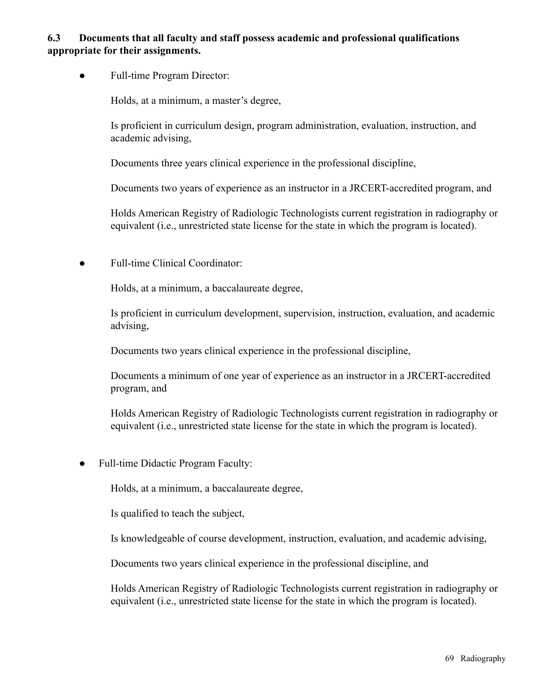### **6.3 Documents that all faculty and staff possess academic and professional qualifications appropriate for their assignments.**

• Full-time Program Director:

Holds, at a minimum, a master's degree,

Is proficient in curriculum design, program administration, evaluation, instruction, and academic advising,

Documents three years clinical experience in the professional discipline,

Documents two years of experience as an instructor in a JRCERT-accredited program, and

Holds American Registry of Radiologic Technologists current registration in radiography or equivalent (i.e., unrestricted state license for the state in which the program is located).

Full-time Clinical Coordinator:

Holds, at a minimum, a baccalaureate degree,

Is proficient in curriculum development, supervision, instruction, evaluation, and academic advising,

Documents two years clinical experience in the professional discipline,

Documents a minimum of one year of experience as an instructor in a JRCERT-accredited program, and

Holds American Registry of Radiologic Technologists current registration in radiography or equivalent (i.e., unrestricted state license for the state in which the program is located).

Full-time Didactic Program Faculty:

Holds, at a minimum, a baccalaureate degree,

Is qualified to teach the subject,

Is knowledgeable of course development, instruction, evaluation, and academic advising,

Documents two years clinical experience in the professional discipline, and

Holds American Registry of Radiologic Technologists current registration in radiography or equivalent (i.e., unrestricted state license for the state in which the program is located).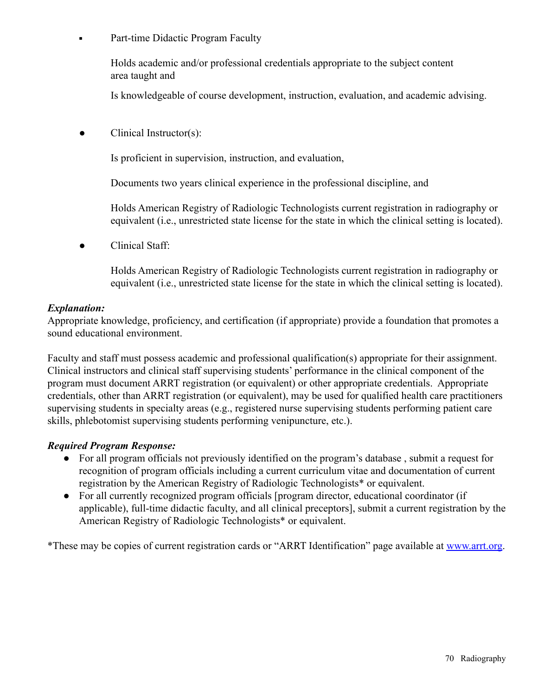• Part-time Didactic Program Faculty

Holds academic and/or professional credentials appropriate to the subject content area taught and

Is knowledgeable of course development, instruction, evaluation, and academic advising.

Clinical Instructor(s):

Is proficient in supervision, instruction, and evaluation,

Documents two years clinical experience in the professional discipline, and

Holds American Registry of Radiologic Technologists current registration in radiography or equivalent (i.e., unrestricted state license for the state in which the clinical setting is located).

Clinical Staff:

Holds American Registry of Radiologic Technologists current registration in radiography or equivalent (i.e., unrestricted state license for the state in which the clinical setting is located).

#### *Explanation:*

Appropriate knowledge, proficiency, and certification (if appropriate) provide a foundation that promotes a sound educational environment.

Faculty and staff must possess academic and professional qualification(s) appropriate for their assignment. Clinical instructors and clinical staff supervising students' performance in the clinical component of the program must document ARRT registration (or equivalent) or other appropriate credentials. Appropriate credentials, other than ARRT registration (or equivalent), may be used for qualified health care practitioners supervising students in specialty areas (e.g., registered nurse supervising students performing patient care skills, phlebotomist supervising students performing venipuncture, etc.).

### *Required Program Response:*

- For all program officials not previously identified on the program's database , submit a request for recognition of program officials including a current curriculum vitae and documentation of current registration by the American Registry of Radiologic Technologists\* or equivalent.
- For all currently recognized program officials [program director, educational coordinator (if applicable), full-time didactic faculty, and all clinical preceptors], submit a current registration by the American Registry of Radiologic Technologists\* or equivalent.

\*These may be copies of current registration cards or "ARRT Identification" page available at [www.arrt.org](http://www.arrt.org).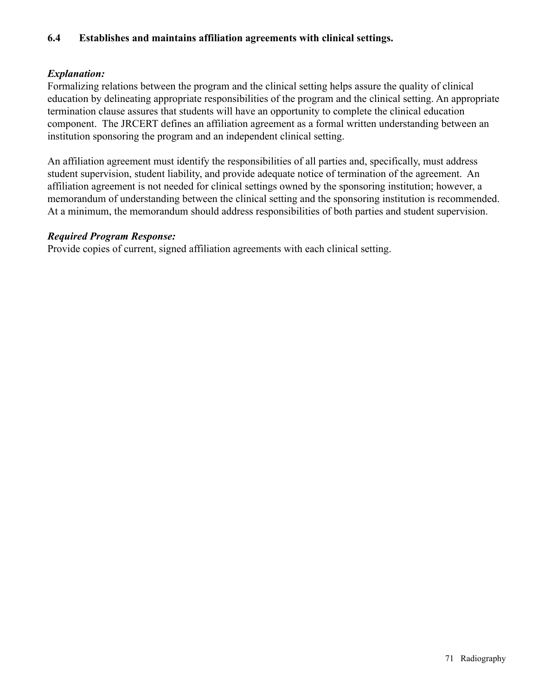### **6.4 Establishes and maintains affiliation agreements with clinical settings.**

### *Explanation:*

Formalizing relations between the program and the clinical setting helps assure the quality of clinical education by delineating appropriate responsibilities of the program and the clinical setting. An appropriate termination clause assures that students will have an opportunity to complete the clinical education component. The JRCERT defines an affiliation agreement as a formal written understanding between an institution sponsoring the program and an independent clinical setting.

An affiliation agreement must identify the responsibilities of all parties and, specifically, must address student supervision, student liability, and provide adequate notice of termination of the agreement. An affiliation agreement is not needed for clinical settings owned by the sponsoring institution; however, a memorandum of understanding between the clinical setting and the sponsoring institution is recommended. At a minimum, the memorandum should address responsibilities of both parties and student supervision.

#### *Required Program Response:*

Provide copies of current, signed affiliation agreements with each clinical setting.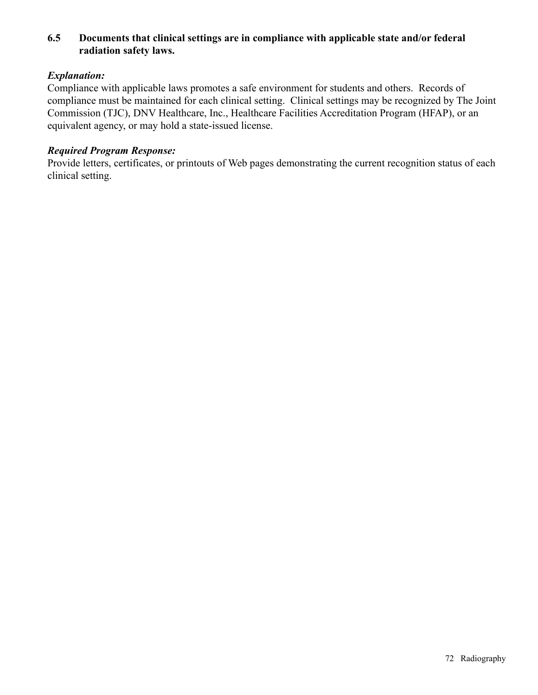### **6.5 Documents that clinical settings are in compliance with applicable state and/or federal radiation safety laws.**

### *Explanation:*

Compliance with applicable laws promotes a safe environment for students and others. Records of compliance must be maintained for each clinical setting. Clinical settings may be recognized by The Joint Commission (TJC), DNV Healthcare, Inc., Healthcare Facilities Accreditation Program (HFAP), or an equivalent agency, or may hold a state-issued license.

# *Required Program Response:*

Provide letters, certificates, or printouts of Web pages demonstrating the current recognition status of each clinical setting.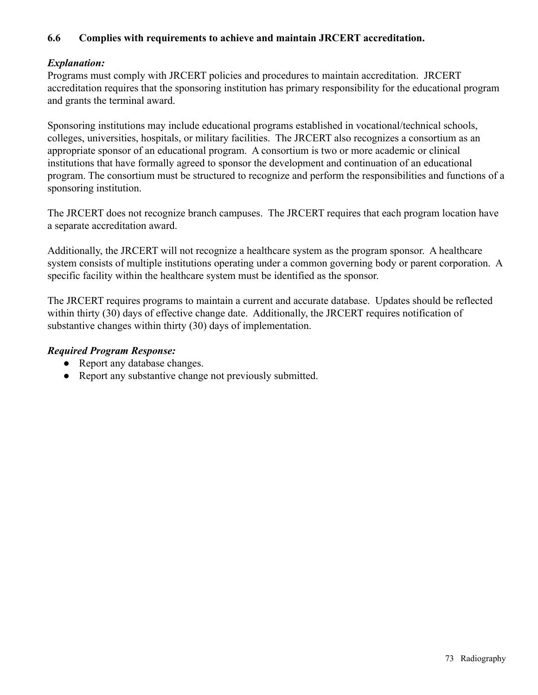# **6.6 Complies with requirements to achieve and maintain JRCERT accreditation.**

# *Explanation:*

Programs must comply with JRCERT policies and procedures to maintain accreditation. JRCERT accreditation requires that the sponsoring institution has primary responsibility for the educational program and grants the terminal award.

Sponsoring institutions may include educational programs established in vocational/technical schools, colleges, universities, hospitals, or military facilities. The JRCERT also recognizes a consortium as an appropriate sponsor of an educational program. A consortium is two or more academic or clinical institutions that have formally agreed to sponsor the development and continuation of an educational program. The consortium must be structured to recognize and perform the responsibilities and functions of a sponsoring institution.

The JRCERT does not recognize branch campuses. The JRCERT requires that each program location have a separate accreditation award.

Additionally, the JRCERT will not recognize a healthcare system as the program sponsor. A healthcare system consists of multiple institutions operating under a common governing body or parent corporation. A specific facility within the healthcare system must be identified as the sponsor.

The JRCERT requires programs to maintain a current and accurate database. Updates should be reflected within thirty (30) days of effective change date. Additionally, the JRCERT requires notification of substantive changes within thirty (30) days of implementation.

## *Required Program Response:*

- Report any database changes.
- Report any substantive change not previously submitted.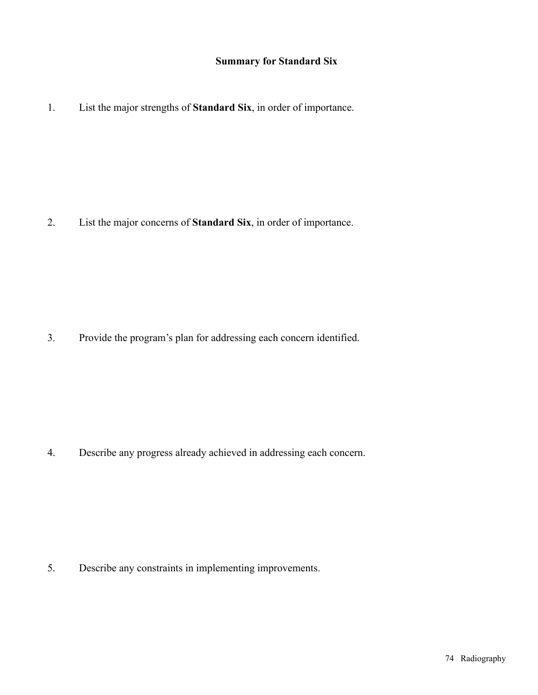# **Summary for Standard Six**

1. List the major strengths of **Standard Six**, in order of importance.

2. List the major concerns of **Standard Six**, in order of importance.

3. Provide the program's plan for addressing each concern identified.

4. Describe any progress already achieved in addressing each concern.

5. Describe any constraints in implementing improvements.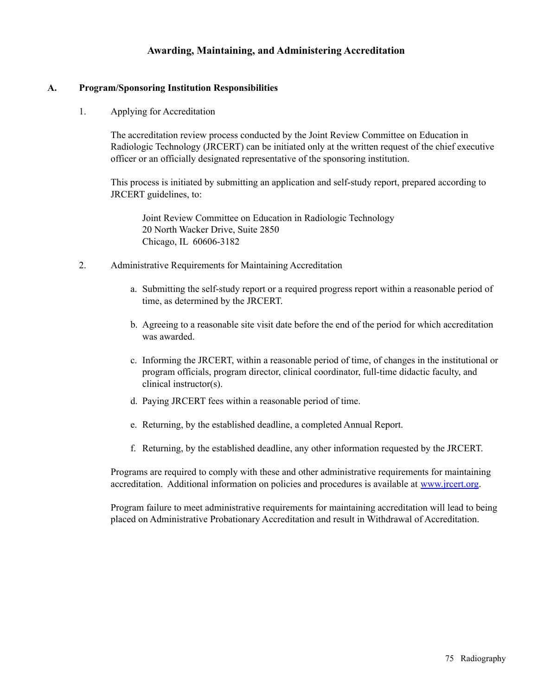## **Awarding, Maintaining, and Administering Accreditation**

#### **A. Program/Sponsoring Institution Responsibilities**

1. Applying for Accreditation

The accreditation review process conducted by the Joint Review Committee on Education in Radiologic Technology (JRCERT) can be initiated only at the written request of the chief executive officer or an officially designated representative of the sponsoring institution.

This process is initiated by submitting an application and self-study report, prepared according to JRCERT guidelines, to:

Joint Review Committee on Education in Radiologic Technology 20 North Wacker Drive, Suite 2850 Chicago, IL 60606-3182

- 2. Administrative Requirements for Maintaining Accreditation
	- a. Submitting the self-study report or a required progress report within a reasonable period of time, as determined by the JRCERT.
	- b. Agreeing to a reasonable site visit date before the end of the period for which accreditation was awarded.
	- c. Informing the JRCERT, within a reasonable period of time, of changes in the institutional or program officials, program director, clinical coordinator, full-time didactic faculty, and clinical instructor(s).
	- d. Paying JRCERT fees within a reasonable period of time.
	- e. Returning, by the established deadline, a completed Annual Report.
	- f. Returning, by the established deadline, any other information requested by the JRCERT.

Programs are required to comply with these and other administrative requirements for maintaining accreditation. Additional information on policies and procedures is available at [www.jrcert.org](http://www.jrcert.org).

Program failure to meet administrative requirements for maintaining accreditation will lead to being placed on Administrative Probationary Accreditation and result in Withdrawal of Accreditation.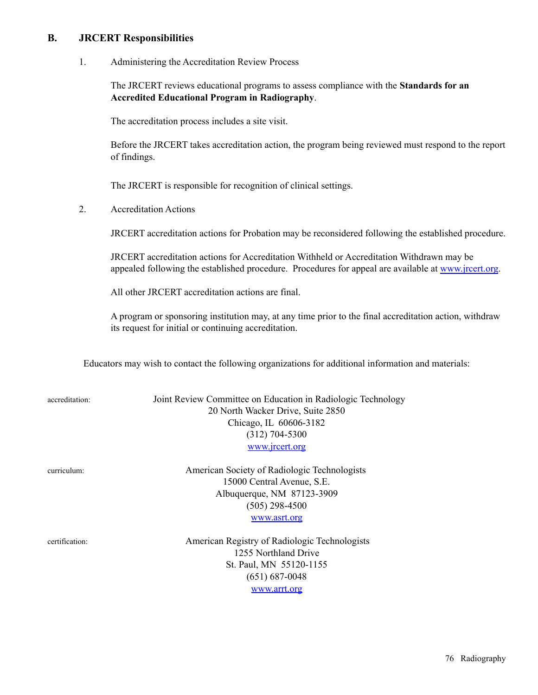### **B. JRCERT Responsibilities**

1. Administering the Accreditation Review Process

The JRCERT reviews educational programs to assess compliance with the **Standards for an Accredited Educational Program in Radiography**.

The accreditation process includes a site visit.

Before the JRCERT takes accreditation action, the program being reviewed must respond to the report of findings.

The JRCERT is responsible for recognition of clinical settings.

2. Accreditation Actions

JRCERT accreditation actions for Probation may be reconsidered following the established procedure.

JRCERT accreditation actions for Accreditation Withheld or Accreditation Withdrawn may be appealed following the established procedure. Procedures for appeal are available at [www.jrcert.org](http://www.jrcert.org).

All other JRCERT accreditation actions are final.

A program or sponsoring institution may, at any time prior to the final accreditation action, withdraw its request for initial or continuing accreditation.

Educators may wish to contact the following organizations for additional information and materials:

Joint Review Committee on Education in Radiologic Technology 20 North Wacker Drive, Suite 2850 Chicago, IL 60606-3182 (312) 704-5300 [www.jrcert.org](http://www.jrcert.org)

curriculum: American Society of Radiologic Technologists 15000 Central Avenue, S.E. Albuquerque, NM 87123-3909 (505) 298-4500 [www.asrt.org](http://www.asrt.org)

certification: American Registry of Radiologic Technologists 1255 Northland Drive St. Paul, MN 55120-1155 (651) 687-0048 [www.arrt.org](http://www.arrt.org)